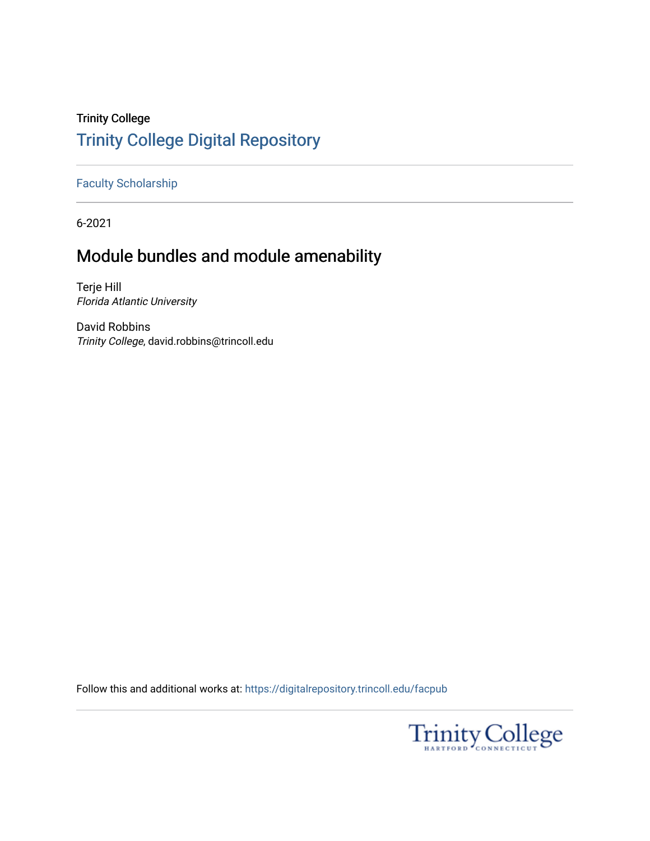## Trinity College [Trinity College Digital Repository](https://digitalrepository.trincoll.edu/)

[Faculty Scholarship](https://digitalrepository.trincoll.edu/facpub)

6-2021

# Module bundles and module amenability

Terje Hill Florida Atlantic University

David Robbins Trinity College, david.robbins@trincoll.edu

Follow this and additional works at: [https://digitalrepository.trincoll.edu/facpub](https://digitalrepository.trincoll.edu/facpub?utm_source=digitalrepository.trincoll.edu%2Ffacpub%2F369&utm_medium=PDF&utm_campaign=PDFCoverPages) 

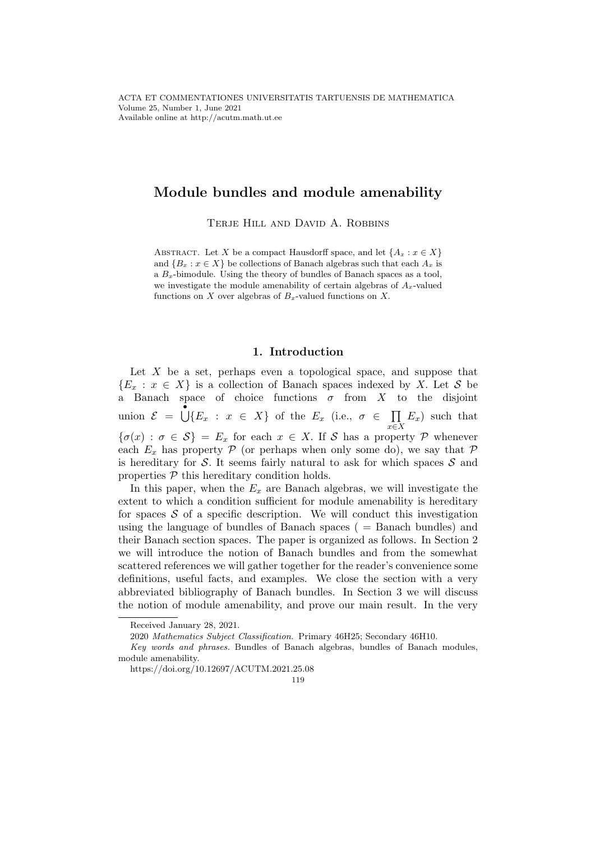## Module bundles and module amenability

TERJE HILL AND DAVID A. ROBBINS

ABSTRACT. Let X be a compact Hausdorff space, and let  $\{A_x : x \in X\}$ and  $\{B_x : x \in X\}$  be collections of Banach algebras such that each  $A_x$  is a  $B_x$ -bimodule. Using the theory of bundles of Banach spaces as a tool, we investigate the module amenability of certain algebras of  $A_x$ -valued functions on X over algebras of  $B_x$ -valued functions on X.

### 1. Introduction

Let  $X$  be a set, perhaps even a topological space, and suppose that  ${E_x : x \in X}$  is a collection of Banach spaces indexed by X. Let S be a Banach space of choice functions  $\sigma$  from X to the disjoint union  $\mathcal{E} = \bigcup_{i=1}^{\infty} \{E_x : x \in X\}$  of the  $E_x$  (i.e.,  $\sigma \in \prod$ x∈X  $E_x$ ) such that  ${\sigma(x) : \sigma \in S} = E_x$  for each  $x \in X$ . If S has a property P whenever each  $E_x$  has property  $\mathcal P$  (or perhaps when only some do), we say that  $\mathcal P$ is hereditary for S. It seems fairly natural to ask for which spaces  $S$  and properties  $P$  this hereditary condition holds.

In this paper, when the  $E_x$  are Banach algebras, we will investigate the extent to which a condition sufficient for module amenability is hereditary for spaces  $S$  of a specific description. We will conduct this investigation using the language of bundles of Banach spaces ( = Banach bundles) and their Banach section spaces. The paper is organized as follows. In Section 2 we will introduce the notion of Banach bundles and from the somewhat scattered references we will gather together for the reader's convenience some definitions, useful facts, and examples. We close the section with a very abbreviated bibliography of Banach bundles. In Section 3 we will discuss the notion of module amenability, and prove our main result. In the very

Received January 28, 2021.

<sup>2020</sup> Mathematics Subject Classification. Primary 46H25; Secondary 46H10.

Key words and phrases. Bundles of Banach algebras, bundles of Banach modules, module amenability.

https://doi.org/10.12697/ACUTM.2021.25.08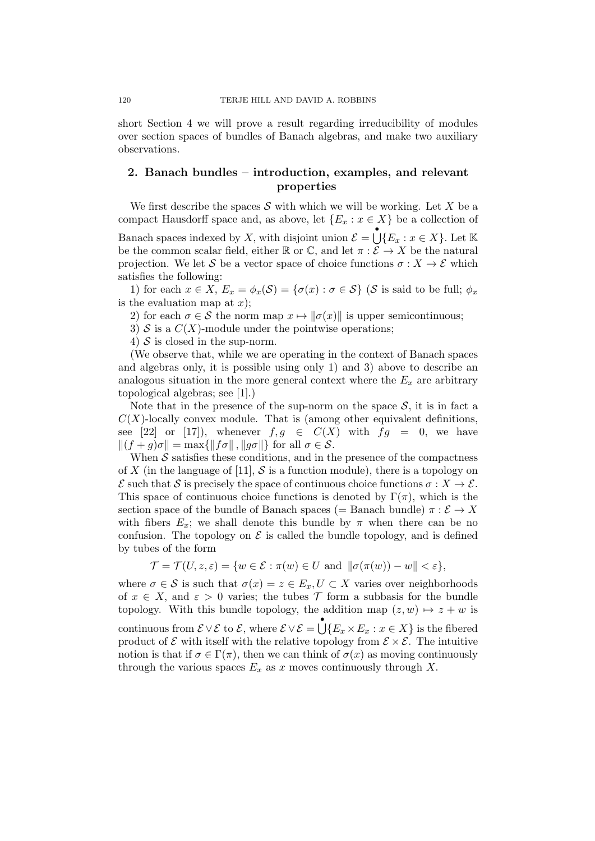short Section 4 we will prove a result regarding irreducibility of modules over section spaces of bundles of Banach algebras, and make two auxiliary observations.

## 2. Banach bundles – introduction, examples, and relevant properties

We first describe the spaces S with which we will be working. Let X be a compact Hausdorff space and, as above, let  $\{E_x : x \in X\}$  be a collection of

Banach spaces indexed by X, with disjoint union  $\mathcal{E} = \bigcup_{i=1}^{\infty} \{E_x : x \in X\}$ . Let K be the common scalar field, either  $\mathbb R$  or  $\mathbb C$ , and let  $\pi : \mathcal E \to X$  be the natural projection. We let S be a vector space of choice functions  $\sigma: X \to \mathcal{E}$  which satisfies the following:

1) for each  $x \in X$ ,  $E_x = \phi_x(\mathcal{S}) = \{\sigma(x) : \sigma \in \mathcal{S}\}\)$  ( $\mathcal{S}$  is said to be full;  $\phi_x$ is the evaluation map at  $x$ );

2) for each  $\sigma \in \mathcal{S}$  the norm map  $x \mapsto ||\sigma(x)||$  is upper semicontinuous;

3) S is a  $C(X)$ -module under the pointwise operations;

4)  $S$  is closed in the sup-norm.

(We observe that, while we are operating in the context of Banach spaces and algebras only, it is possible using only 1) and 3) above to describe an analogous situation in the more general context where the  $E_x$  are arbitrary topological algebras; see [1].)

Note that in the presence of the sup-norm on the space  $S$ , it is in fact a  $C(X)$ -locally convex module. That is (among other equivalent definitions, see [22] or [17]), whenever  $f, g \in C(X)$  with  $fg = 0$ , we have  $||(f + g)\sigma|| = \max{||f\sigma||, ||g\sigma||}$  for all  $\sigma \in \mathcal{S}$ .

When  $S$  satisfies these conditions, and in the presence of the compactness of X (in the language of [11],  $S$  is a function module), there is a topology on  $\mathcal E$  such that  $\mathcal S$  is precisely the space of continuous choice functions  $\sigma: X \to \mathcal E$ . This space of continuous choice functions is denoted by  $\Gamma(\pi)$ , which is the section space of the bundle of Banach spaces (= Banach bundle)  $\pi : \mathcal{E} \to X$ with fibers  $E_x$ ; we shall denote this bundle by  $\pi$  when there can be no confusion. The topology on  $\mathcal E$  is called the bundle topology, and is defined by tubes of the form

$$
\mathcal{T} = \mathcal{T}(U, z, \varepsilon) = \{ w \in \mathcal{E} : \pi(w) \in U \text{ and } ||\sigma(\pi(w)) - w|| < \varepsilon \},
$$

where  $\sigma \in \mathcal{S}$  is such that  $\sigma(x) = z \in E_x, U \subset X$  varies over neighborhoods of  $x \in X$ , and  $\varepsilon > 0$  varies; the tubes T form a subbasis for the bundle topology. With this bundle topology, the addition map  $(z, w) \mapsto z + w$  is continuous from  $\mathcal{E} \vee \mathcal{E}$  to  $\mathcal{E}$ , where  $\mathcal{E} \vee \mathcal{E} = \bigcup \{E_x \times E_x : x \in X\}$  is the fibered product of  $\mathcal E$  with itself with the relative topology from  $\mathcal E \times \mathcal E$ . The intuitive notion is that if  $\sigma \in \Gamma(\pi)$ , then we can think of  $\sigma(x)$  as moving continuously through the various spaces  $E_x$  as x moves continuously through X.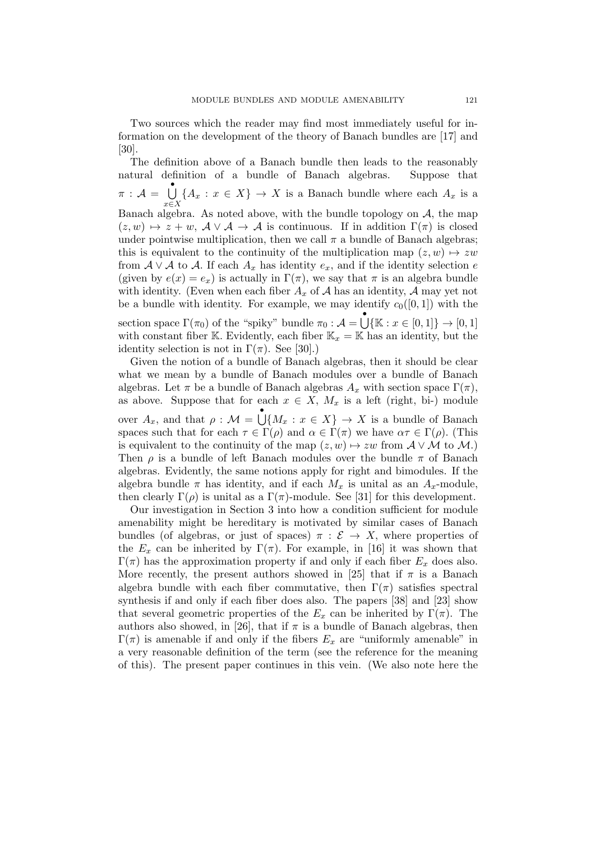Two sources which the reader may find most immediately useful for information on the development of the theory of Banach bundles are [17] and [30].

The definition above of a Banach bundle then leads to the reasonably natural definition of a bundle of Banach algebras. Suppose that  $\pi$  :  $\mathcal{A} = \bigcup_{i=1}^{n}$ x∈X  ${A_x : x \in X} \rightarrow X$  is a Banach bundle where each  $A_x$  is a Banach algebra. As noted above, with the bundle topology on  $A$ , the map  $(z, w) \mapsto z + w$ ,  $\mathcal{A} \vee \mathcal{A} \to \mathcal{A}$  is continuous. If in addition  $\Gamma(\pi)$  is closed under pointwise multiplication, then we call  $\pi$  a bundle of Banach algebras; this is equivalent to the continuity of the multiplication map  $(z, w) \mapsto zw$ from  $A \vee A$  to A. If each  $A_x$  has identity  $e_x$ , and if the identity selection e (given by  $e(x) = e_x$ ) is actually in  $\Gamma(\pi)$ , we say that  $\pi$  is an algebra bundle with identity. (Even when each fiber  $A_x$  of  $A$  has an identity,  $A$  may yet not be a bundle with identity. For example, we may identify  $c_0([0, 1])$  with the section space  $\Gamma(\pi_0)$  of the "spiky" bundle  $\pi_0 : \mathcal{A} = \bigcup_{k=1}^{\infty} \{ \mathbb{K} : x \in [0,1] \} \to [0,1]$ with constant fiber K. Evidently, each fiber  $\mathbb{K}_x = \mathbb{K}$  has an identity, but the identity selection is not in  $\Gamma(\pi)$ . See [30].)

Given the notion of a bundle of Banach algebras, then it should be clear what we mean by a bundle of Banach modules over a bundle of Banach algebras. Let  $\pi$  be a bundle of Banach algebras  $A_x$  with section space  $\Gamma(\pi)$ , as above. Suppose that for each  $x \in X$ ,  $M_x$  is a left (right, bi-) module over  $A_x$ , and that  $\rho : \mathcal{M} = \bigcup_{x \in X} \{M_x : x \in X\} \to X$  is a bundle of Banach spaces such that for each  $\tau \in \Gamma(\rho)$  and  $\alpha \in \Gamma(\pi)$  we have  $\alpha \tau \in \Gamma(\rho)$ . (This is equivalent to the continuity of the map  $(z, w) \mapsto zw$  from  $\mathcal{A} \vee \mathcal{M}$  to  $\mathcal{M}$ .) Then  $\rho$  is a bundle of left Banach modules over the bundle  $\pi$  of Banach algebras. Evidently, the same notions apply for right and bimodules. If the algebra bundle  $\pi$  has identity, and if each  $M_x$  is unital as an  $A_x$ -module, then clearly  $\Gamma(\rho)$  is unital as a  $\Gamma(\pi)$ -module. See [31] for this development.

Our investigation in Section 3 into how a condition sufficient for module amenability might be hereditary is motivated by similar cases of Banach bundles (of algebras, or just of spaces)  $\pi : \mathcal{E} \to X$ , where properties of the  $E_x$  can be inherited by  $\Gamma(\pi)$ . For example, in [16] it was shown that  $\Gamma(\pi)$  has the approximation property if and only if each fiber  $E_x$  does also. More recently, the present authors showed in [25] that if  $\pi$  is a Banach algebra bundle with each fiber commutative, then  $\Gamma(\pi)$  satisfies spectral synthesis if and only if each fiber does also. The papers [38] and [23] show that several geometric properties of the  $E_x$  can be inherited by  $\Gamma(\pi)$ . The authors also showed, in [26], that if  $\pi$  is a bundle of Banach algebras, then  $\Gamma(\pi)$  is amenable if and only if the fibers  $E_x$  are "uniformly amenable" in a very reasonable definition of the term (see the reference for the meaning of this). The present paper continues in this vein. (We also note here the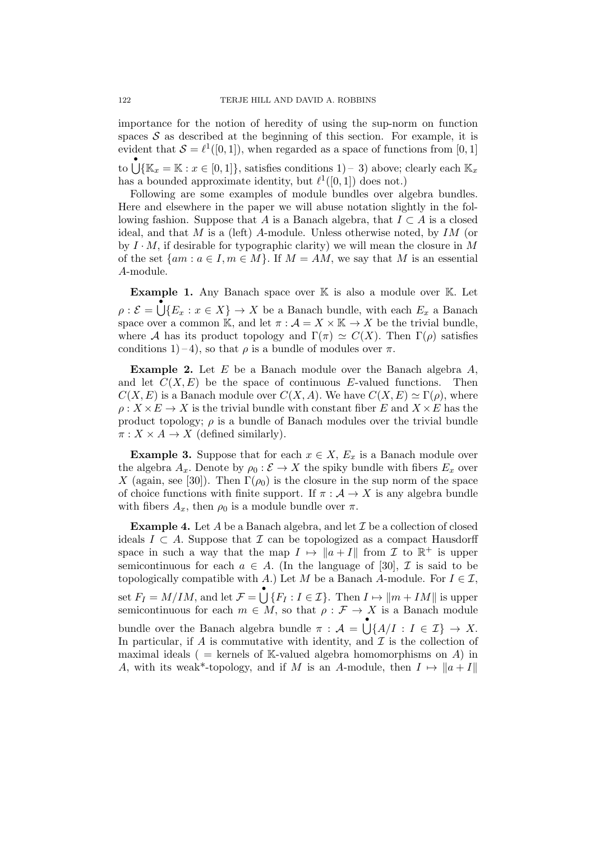importance for the notion of heredity of using the sup-norm on function spaces  $S$  as described at the beginning of this section. For example, it is evident that  $S = \ell^1([0, 1])$ , when regarded as a space of functions from [0, 1] to  $\bigcup_{i=1}^{n} \{\mathbb{K}_x = \mathbb{K} : x \in [0,1]\},\$  satisfies conditions  $1$ ) – 3) above; clearly each  $\mathbb{K}_x$ has a bounded approximate identity, but  $\ell^1([0, 1])$  does not.)

Following are some examples of module bundles over algebra bundles. Here and elsewhere in the paper we will abuse notation slightly in the following fashion. Suppose that A is a Banach algebra, that  $I \subset A$  is a closed ideal, and that  $M$  is a (left)  $A$ -module. Unless otherwise noted, by  $IM$  (or by  $I \cdot M$ , if desirable for typographic clarity) we will mean the closure in M of the set  $\{am : a \in I, m \in M\}$ . If  $M = AM$ , we say that M is an essential A-module.

Example 1. Any Banach space over K is also a module over K. Let  $\rho : \mathcal{E} = \bigcup_{i=1}^{\infty} \{E_x : x \in X\} \to X$  be a Banach bundle, with each  $E_x$  a Banach space over a common K, and let  $\pi : \mathcal{A} = X \times \mathbb{K} \to X$  be the trivial bundle, where A has its product topology and  $\Gamma(\pi) \simeq C(X)$ . Then  $\Gamma(\rho)$  satisfies conditions 1)–4), so that  $\rho$  is a bundle of modules over  $\pi$ .

Example 2. Let E be a Banach module over the Banach algebra A, and let  $C(X, E)$  be the space of continuous E-valued functions. Then  $C(X, E)$  is a Banach module over  $C(X, A)$ . We have  $C(X, E) \simeq \Gamma(\rho)$ , where  $\rho: X \times E \to X$  is the trivial bundle with constant fiber E and  $X \times E$  has the product topology;  $\rho$  is a bundle of Banach modules over the trivial bundle  $\pi: X \times A \rightarrow X$  (defined similarly).

**Example 3.** Suppose that for each  $x \in X$ ,  $E_x$  is a Banach module over the algebra  $A_x$ . Denote by  $\rho_0 : \mathcal{E} \to X$  the spiky bundle with fibers  $E_x$  over X (again, see [30]). Then  $\Gamma(\rho_0)$  is the closure in the sup norm of the space of choice functions with finite support. If  $\pi : A \to X$  is any algebra bundle with fibers  $A_x$ , then  $\rho_0$  is a module bundle over  $\pi$ .

**Example 4.** Let A be a Banach algebra, and let  $\mathcal{I}$  be a collection of closed ideals  $I \subset A$ . Suppose that  $\mathcal I$  can be topologized as a compact Hausdorff space in such a way that the map  $I \mapsto ||a + I||$  from  $\mathcal I$  to  $\mathbb R^+$  is upper semicontinuous for each  $a \in A$ . (In the language of [30],  $\mathcal I$  is said to be topologically compatible with A.) Let M be a Banach A-module. For  $I \in \mathcal{I}$ , set  $F_I = M/IM$ , and let  $\mathcal{F} = \bigcup_{i=1}^{n} \{F_I : I \in \mathcal{I}\}\$ . Then  $I \mapsto ||m + IM||$  is upper semicontinuous for each  $m \in M$ , so that  $\rho : \mathcal{F} \to X$  is a Banach module bundle over the Banach algebra bundle  $\pi : A = \bigcup_{i=1}^{\infty} \{A/I : I \in \mathcal{I}\} \to X$ . In particular, if  $A$  is commutative with identity, and  $\mathcal I$  is the collection of maximal ideals ( = kernels of K-valued algebra homomorphisms on  $A$ ) in A, with its weak\*-topology, and if M is an A-module, then  $I \mapsto \|a + I\|$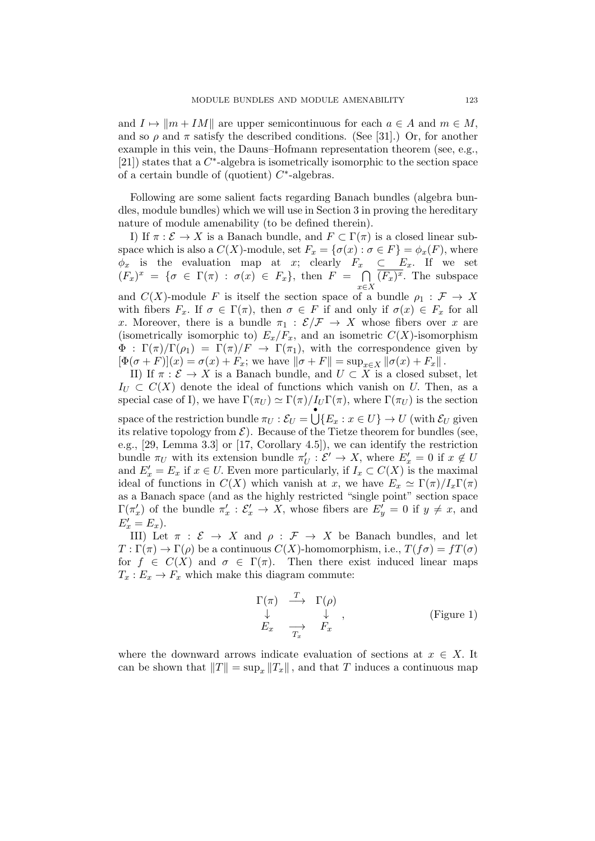and  $I \mapsto ||m + IM||$  are upper semicontinuous for each  $a \in A$  and  $m \in M$ , and so  $\rho$  and  $\pi$  satisfy the described conditions. (See [31].) Or, for another example in this vein, the Dauns–Hofmann representation theorem (see, e.g., [21]) states that a  $C^*$ -algebra is isometrically isomorphic to the section space of a certain bundle of (quotient)  $C^*$ -algebras.

Following are some salient facts regarding Banach bundles (algebra bundles, module bundles) which we will use in Section 3 in proving the hereditary nature of module amenability (to be defined therein).

I) If  $\pi : \mathcal{E} \to X$  is a Banach bundle, and  $F \subset \Gamma(\pi)$  is a closed linear subspace which is also a  $C(X)$ -module, set  $F_x = {\sigma(x) : \sigma \in F} = \phi_x(F)$ , where  $\phi_x$  is the evaluation map at x; clearly  $F_x \subset E_x$ . If we set  $(F_x)^x = \{\sigma \in \Gamma(\pi) : \sigma(x) \in F_x\},\$  then  $F = \bigcap$ x∈X  $(F_x)^x$ . The subspace and  $C(X)$ -module F is itself the section space of a bundle  $\rho_1 : \mathcal{F} \to X$ with fibers  $F_x$ . If  $\sigma \in \Gamma(\pi)$ , then  $\sigma \in F$  if and only if  $\sigma(x) \in F_x$  for all x. Moreover, there is a bundle  $\pi_1 : \mathcal{E}/\mathcal{F} \to X$  whose fibers over x are (isometrically isomorphic to)  $E_x/F_x$ , and an isometric  $C(X)$ -isomorphism  $\Phi : \Gamma(\pi)/\Gamma(\rho_1) = \Gamma(\pi)/F \rightarrow \Gamma(\pi_1)$ , with the correspondence given by  $[\Phi(\sigma + F)](x) = \sigma(x) + F_x$ ; we have  $\|\sigma + F\| = \sup_{x \in X} \|\sigma(x) + F_x\|$ .

II) If  $\pi : \mathcal{E} \to X$  is a Banach bundle, and  $U \subset X$  is a closed subset, let  $I_U \subset C(X)$  denote the ideal of functions which vanish on U. Then, as a special case of I), we have  $\Gamma(\pi_U) \simeq \Gamma(\pi)/I_U \Gamma(\pi)$ , where  $\Gamma(\pi_U)$  is the section space of the restriction bundle  $\pi_U : \mathcal{E}_U = \bigcup \{E_x : x \in U\} \to U$  (with  $\mathcal{E}_U$  given its relative topology from  $\mathcal{E}$ ). Because of the Tietze theorem for bundles (see, e.g., [29, Lemma 3.3] or [17, Corollary 4.5]), we can identify the restriction bundle  $\pi_U$  with its extension bundle  $\pi'_U : \mathcal{E}' \to X$ , where  $E'_x = 0$  if  $x \notin U$ and  $E'_x = E_x$  if  $x \in U$ . Even more particularly, if  $I_x \subset C(X)$  is the maximal ideal of functions in  $C(X)$  which vanish at x, we have  $E_x \simeq \Gamma(\pi)/I_x\Gamma(\pi)$ as a Banach space (and as the highly restricted "single point" section space  $\Gamma(\pi_x')$  of the bundle  $\pi_x' : \mathcal{E}_x' \to X$ , whose fibers are  $E_y' = 0$  if  $y \neq x$ , and  $E'_x = E_x$ ).

III) Let  $\pi : \mathcal{E} \to X$  and  $\rho : \mathcal{F} \to X$  be Banach bundles, and let  $T : \Gamma(\pi) \to \Gamma(\rho)$  be a continuous  $C(X)$ -homomorphism, i.e.,  $T(f\sigma) = fT(\sigma)$ for  $f \in C(X)$  and  $\sigma \in \Gamma(\pi)$ . Then there exist induced linear maps  $T_x: E_x \to F_x$  which make this diagram commute:

$$
\Gamma(\pi) \xrightarrow{T} \Gamma(\rho) \n\downarrow \qquad \downarrow \qquad , \qquad \text{(Figure 1)} \nE_x \xrightarrow{T_x} F_x
$$

where the downward arrows indicate evaluation of sections at  $x \in X$ . It can be shown that  $||T|| = \sup_x ||T_x||$ , and that T induces a continuous map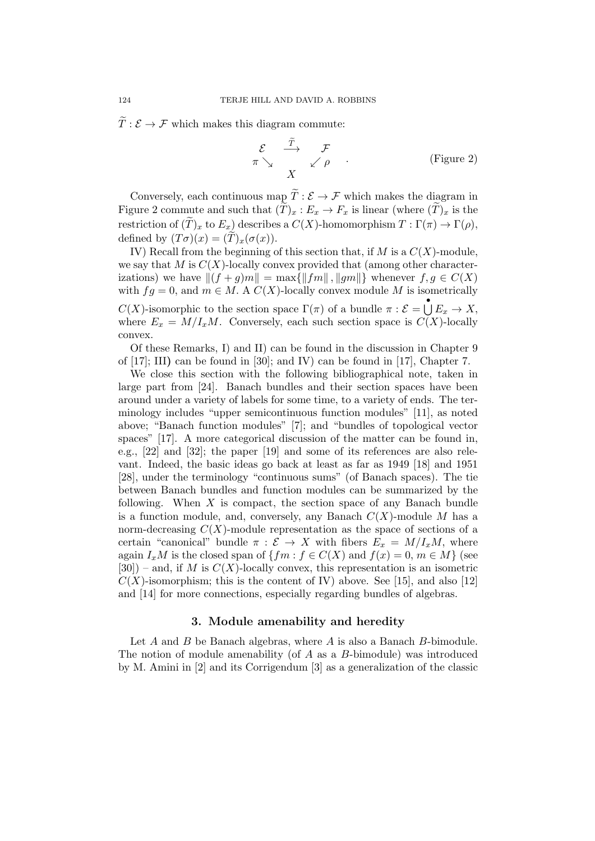$\overline{T}: \mathcal{E} \to \mathcal{F}$  which makes this diagram commute:

$$
\begin{array}{ccc}\n\mathcal{E} & \xrightarrow{\widetilde{T}} & \mathcal{F} \\
\pi \searrow & & \swarrow \rho\n\end{array} \qquad \qquad \text{(Figure 2)}
$$

Conversely, each continuous map  $\widetilde{T}:\mathcal{E}\rightarrow\mathcal{F}$  which makes the diagram in Figure 2 commute and such that  $(T)_x : E_x \to F_x$  is linear (where  $(T)_x$  is the restriction of  $(\tilde{T})_x$  to  $E_x$ ) describes a  $C(X)$ -homomorphism  $T : \Gamma(\pi) \to \Gamma(\rho)$ , defined by  $(T\sigma)(x) = (T)_x(\sigma(x)).$ 

IV) Recall from the beginning of this section that, if M is a  $C(X)$ -module, we say that M is  $C(X)$ -locally convex provided that (among other characterizations) we have  $||(f + g)m|| = \max{||fm||, ||gm||}$  whenever  $f, g \in C(X)$ with  $fg = 0$ , and  $m \in M$ . A  $C(X)$ -locally convex module M is isometrically C(X)-isomorphic to the section space  $\Gamma(\pi)$  of a bundle  $\pi : \mathcal{E} = \bigcup_{n=1}^{\infty} E_n \to X$ , where  $E_x = M/I_xM$ . Conversely, each such section space is  $C(X)$ -locally convex.

Of these Remarks, I) and II) can be found in the discussion in Chapter 9 of  $[17]$ ; III) can be found in  $[30]$ ; and IV) can be found in  $[17]$ , Chapter 7.

We close this section with the following bibliographical note, taken in large part from [24]. Banach bundles and their section spaces have been around under a variety of labels for some time, to a variety of ends. The terminology includes "upper semicontinuous function modules" [11], as noted above; "Banach function modules" [7]; and "bundles of topological vector spaces" [17]. A more categorical discussion of the matter can be found in, e.g., [22] and [32]; the paper [19] and some of its references are also relevant. Indeed, the basic ideas go back at least as far as 1949 [18] and 1951 [28], under the terminology "continuous sums" (of Banach spaces). The tie between Banach bundles and function modules can be summarized by the following. When  $X$  is compact, the section space of any Banach bundle is a function module, and, conversely, any Banach  $C(X)$ -module M has a norm-decreasing  $C(X)$ -module representation as the space of sections of a certain "canonical" bundle  $\pi : \mathcal{E} \to X$  with fibers  $E_x = M/I_xM$ , where again  $I_xM$  is the closed span of  $\{fm : f \in C(X) \text{ and } f(x) = 0, m \in M\}$  (see  $[30]$  – and, if M is  $C(X)$ -locally convex, this representation is an isometric  $C(X)$ -isomorphism; this is the content of IV) above. See [15], and also [12] and [14] for more connections, especially regarding bundles of algebras.

#### 3. Module amenability and heredity

Let A and B be Banach algebras, where A is also a Banach B-bimodule. The notion of module amenability (of A as a B-bimodule) was introduced by M. Amini in [2] and its Corrigendum [3] as a generalization of the classic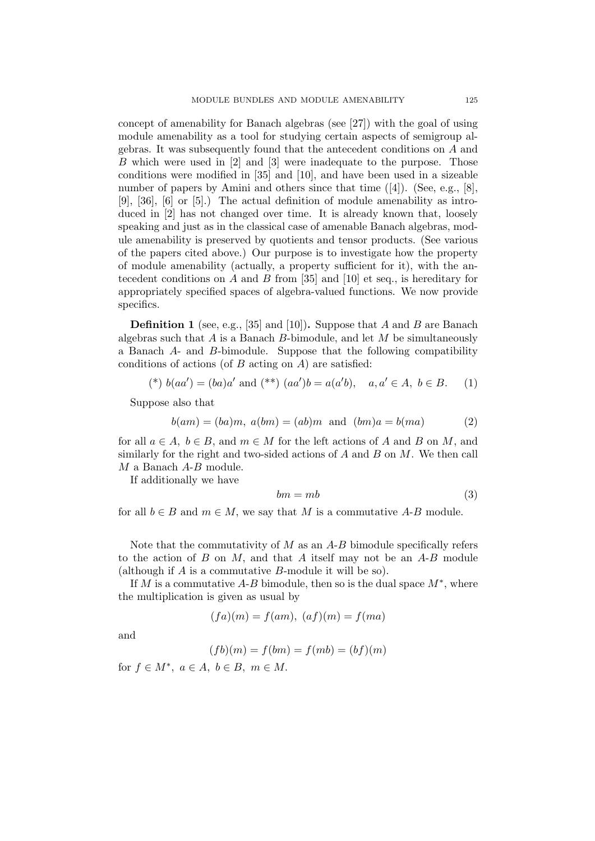concept of amenability for Banach algebras (see [27]) with the goal of using module amenability as a tool for studying certain aspects of semigroup algebras. It was subsequently found that the antecedent conditions on A and B which were used in [2] and [3] were inadequate to the purpose. Those conditions were modified in [35] and [10], and have been used in a sizeable number of papers by Amini and others since that time  $([4])$ . (See, e.g., [8], [9], [36], [6] or [5].) The actual definition of module amenability as introduced in [2] has not changed over time. It is already known that, loosely speaking and just as in the classical case of amenable Banach algebras, module amenability is preserved by quotients and tensor products. (See various of the papers cited above.) Our purpose is to investigate how the property of module amenability (actually, a property sufficient for it), with the antecedent conditions on A and B from  $[35]$  and  $[10]$  et seq., is hereditary for appropriately specified spaces of algebra-valued functions. We now provide specifics.

**Definition 1** (see, e.g., [35] and [10]). Suppose that A and B are Banach algebras such that  $A$  is a Banach  $B$ -bimodule, and let  $M$  be simultaneously a Banach A- and B-bimodule. Suppose that the following compatibility conditions of actions (of  $B$  acting on  $A$ ) are satisfied:

$$
(*) b(aa') = (ba)a' \text{ and } (**) (aa')b = a(a'b), a, a' \in A, b \in B.
$$
 (1)

Suppose also that

$$
b(am) = (ba)m, a(bm) = (ab)m \text{ and } (bm)a = b(ma)
$$
 (2)

for all  $a \in A$ ,  $b \in B$ , and  $m \in M$  for the left actions of A and B on M, and similarly for the right and two-sided actions of  $A$  and  $B$  on  $M$ . We then call M a Banach A-B module.

If additionally we have

$$
bm = mb \tag{3}
$$

for all  $b \in B$  and  $m \in M$ , we say that M is a commutative A-B module.

Note that the commutativity of  $M$  as an  $A-B$  bimodule specifically refers to the action of B on M, and that A itself may not be an  $A-B$  module (although if A is a commutative B-module it will be so).

If M is a commutative  $A-B$  bimodule, then so is the dual space  $M^*$ , where the multiplication is given as usual by

$$
(fa)(m) = f(am), \ (af)(m) = f(ma)
$$

and

$$
(fb)(m) = f(bm) = f(mb) = (bf)(m)
$$

for  $f \in M^*$ ,  $a \in A$ ,  $b \in B$ ,  $m \in M$ .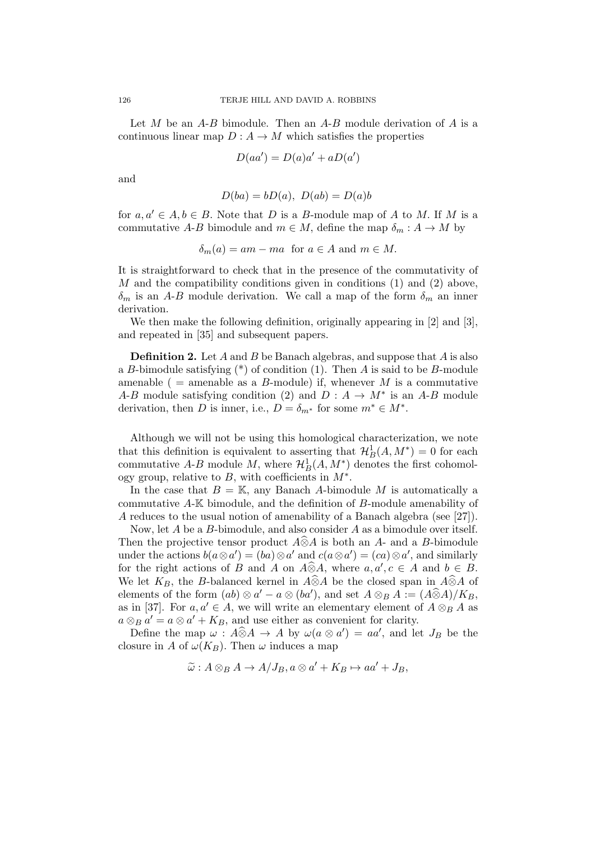Let  $M$  be an  $A-B$  bimodule. Then an  $A-B$  module derivation of  $A$  is a continuous linear map  $D: A \to M$  which satisfies the properties

$$
D(aa') = D(a)a' + aD(a')
$$

and

$$
D(ba) = bD(a), D(ab) = D(a)b
$$

for  $a, a' \in A, b \in B$ . Note that D is a B-module map of A to M. If M is a commutative A-B bimodule and  $m \in M$ , define the map  $\delta_m : A \to M$  by

$$
\delta_m(a) = am - ma \text{ for } a \in A \text{ and } m \in M.
$$

It is straightforward to check that in the presence of the commutativity of M and the compatibility conditions given in conditions  $(1)$  and  $(2)$  above,  $\delta_m$  is an A-B module derivation. We call a map of the form  $\delta_m$  an inner derivation.

We then make the following definition, originally appearing in [2] and [3], and repeated in [35] and subsequent papers.

**Definition 2.** Let A and B be Banach algebras, and suppose that A is also a B-bimodule satisfying  $(*)$  of condition (1). Then A is said to be B-module amenable ( = amenable as a B-module) if, whenever M is a commutative A-B module satisfying condition (2) and  $D: A \to M^*$  is an A-B module derivation, then D is inner, i.e.,  $D = \delta_{m^*}$  for some  $m^* \in M^*$ .

Although we will not be using this homological characterization, we note that this definition is equivalent to asserting that  $\mathcal{H}_B^1(A, M^*) = 0$  for each commutative A-B module M, where  $\mathcal{H}_B^1(A, M^*)$  denotes the first cohomology group, relative to  $B$ , with coefficients in  $M^*$ .

In the case that  $B = K$ , any Banach A-bimodule M is automatically a commutative A-K bimodule, and the definition of B-module amenability of A reduces to the usual notion of amenability of a Banach algebra (see [27]).

Now, let  $A$  be a  $B$ -bimodule, and also consider  $A$  as a bimodule over itself. Then the projective tensor product  $\widehat{A} \widehat{\otimes} A$  is both an  $A$ - and a B-bimodule under the actions  $b(a \otimes a') = (ba) \otimes a'$  and  $c(a \otimes a') = (ca) \otimes a'$ , and similarly for the right actions of B and A on  $\widehat{A} \widehat{\otimes} A$ , where  $a, a', c \in A$  and  $b \in B$ . We let  $K_B$ , the B-balanced kernel in  $A\widehat{\otimes}A$  be the closed span in  $A\widehat{\otimes}A$  of elements of the form  $(ab) \otimes a' - a \otimes (ba')$ , and set  $A \otimes_B A := (A \widehat{\otimes} A)/K_B$ as in [37]. For  $a, a' \in A$ , we will write an elementary element of  $A \otimes_B A$  as  $a \otimes_B a' = a \otimes a' + K_B$ , and use either as convenient for clarity.

Define the map  $\omega$ :  $A\widehat{\otimes}A \to A$  by  $\omega(a\otimes a') = aa'$ , and let  $J_B$  be the closure in A of  $\omega(K_B)$ . Then  $\omega$  induces a map

$$
\widetilde{\omega}: A \otimes_B A \to A/J_B, a \otimes a' + K_B \mapsto aa' + J_B,
$$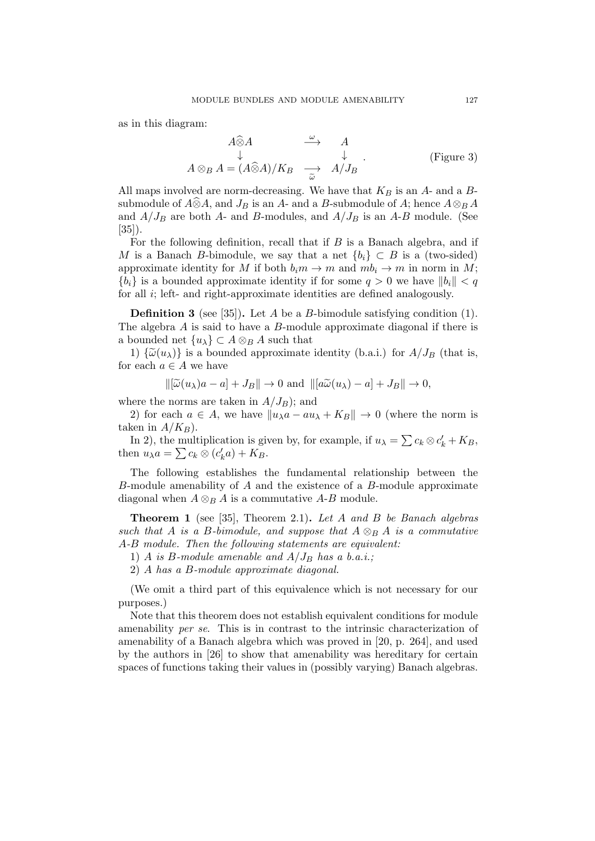as in this diagram:

$$
A \widehat{\otimes} A \qquad \xrightarrow{\omega} \qquad A
$$
  
\n
$$
A \otimes_B A = (A \widehat{\otimes} A) / K_B \qquad \xrightarrow{\omega} \qquad A / J_B
$$
  
\n(Figure 3)

All maps involved are norm-decreasing. We have that  $K_B$  is an  $A$ - and a  $B$ submodule of  $\widehat{A} \hat{\otimes} A$ , and  $J_B$  is an A- and a B-submodule of A; hence  $A \otimes_B A$ and  $A/J_B$  are both A- and B-modules, and  $A/J_B$  is an A-B module. (See [35]).

For the following definition, recall that if  $B$  is a Banach algebra, and if M is a Banach B-bimodule, we say that a net  ${b_i} \subset B$  is a (two-sided) approximate identity for M if both  $b_i m \to m$  and  $m b_i \to m$  in norm in M;  ${b_i}$  is a bounded approximate identity if for some  $q > 0$  we have  $||b_i|| < q$ for all i; left- and right-approximate identities are defined analogously.

**Definition 3** (see [35]). Let A be a B-bimodule satisfying condition  $(1)$ . The algebra A is said to have a B-module approximate diagonal if there is a bounded net  $\{u_{\lambda}\}\subset A\otimes_B A$  such that

1)  $\{\widetilde{\omega}(u_{\lambda})\}$  is a bounded approximate identity (b.a.i.) for  $A/J_B$  (that is, for each  $a \in A$  we have

$$
\|[\widetilde{\omega}(u_{\lambda})a - a] + J_B\| \to 0 \text{ and } \|[a\widetilde{\omega}(u_{\lambda}) - a] + J_B\| \to 0,
$$

where the norms are taken in  $A/J_B$ ); and

2) for each  $a \in A$ , we have  $||u_{\lambda}a - au_{\lambda} + K_B|| \to 0$  (where the norm is taken in  $A/K_B$ ).

In 2), the multiplication is given by, for example, if  $u_{\lambda} = \sum c_k \otimes c'_k + K_B$ , then  $u_{\lambda}a = \sum c_k \otimes (c'_ka) + K_B.$ 

The following establishes the fundamental relationship between the  $B$ -module amenability of  $A$  and the existence of a  $B$ -module approximate diagonal when  $A \otimes_B A$  is a commutative A-B module.

**Theorem 1** (see [35], Theorem 2.1). Let A and B be Banach algebras such that A is a B-bimodule, and suppose that  $A \otimes_B A$  is a commutative A-B module. Then the following statements are equivalent:

1) A is B-module amenable and  $A/J_B$  has a b.a.i.;

2) A has a B-module approximate diagonal.

(We omit a third part of this equivalence which is not necessary for our purposes.)

Note that this theorem does not establish equivalent conditions for module amenability per se. This is in contrast to the intrinsic characterization of amenability of a Banach algebra which was proved in [20, p. 264], and used by the authors in [26] to show that amenability was hereditary for certain spaces of functions taking their values in (possibly varying) Banach algebras.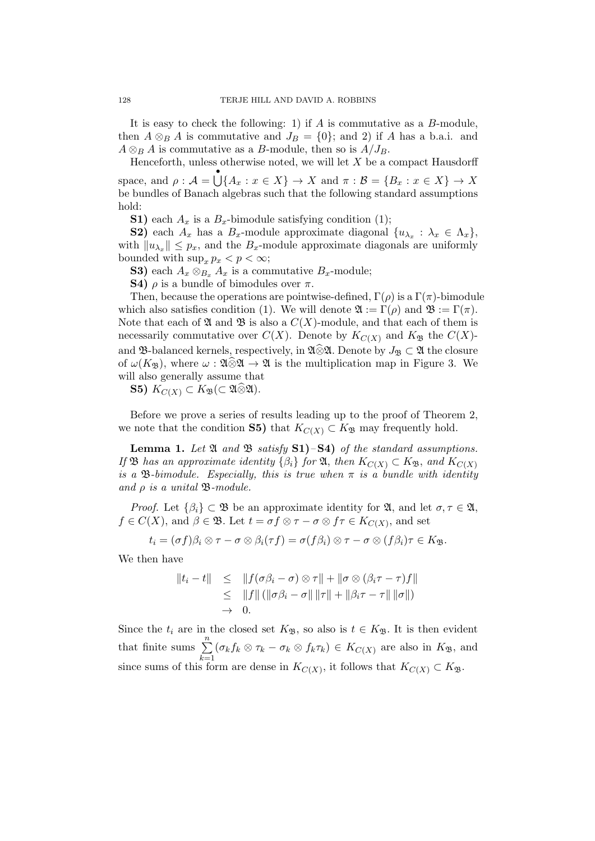It is easy to check the following: 1) if  $A$  is commutative as a  $B$ -module, then  $A \otimes_B A$  is commutative and  $J_B = \{0\}$ ; and 2) if A has a b.a.i. and  $A \otimes_B A$  is commutative as a B-module, then so is  $A/J_B$ .

Henceforth, unless otherwise noted, we will let  $X$  be a compact Hausdorff space, and  $\rho: \mathcal{A} = \bigcup_{X} \{A_x : x \in X\} \to X$  and  $\pi: \mathcal{B} = \{B_x : x \in X\} \to X$ be bundles of Banach algebras such that the following standard assumptions hold:

**S1)** each  $A_x$  is a  $B_x$ -bimodule satisfying condition (1);

**S2)** each  $A_x$  has a  $B_x$ -module approximate diagonal  $\{u_{\lambda_x} : \lambda_x \in \Lambda_x\}$ , with  $||u_{\lambda_x}|| \leq p_x$ , and the  $B_x$ -module approximate diagonals are uniformly bounded with  $\sup_x p_x < p < \infty$ ;

S3) each  $A_x \otimes_{B_x} A_x$  is a commutative  $B_x$ -module;

S4)  $\rho$  is a bundle of bimodules over  $\pi$ .

Then, because the operations are pointwise-defined,  $\Gamma(\rho)$  is a  $\Gamma(\pi)$ -bimodule which also satisfies condition (1). We will denote  $\mathfrak{A} := \Gamma(\rho)$  and  $\mathfrak{B} := \Gamma(\pi)$ . Note that each of  $\mathfrak A$  and  $\mathfrak B$  is also a  $C(X)$ -module, and that each of them is necessarily commutative over  $C(X)$ . Denote by  $K_{C(X)}$  and  $K_{\mathfrak{B}}$  the  $C(X)$ and B-balanced kernels, respectively, in  $\mathfrak{A}\otimes\mathfrak{A}$ . Denote by  $J_{\mathfrak{B}}\subset\mathfrak{A}$  the closure of  $\omega(K_{\mathfrak{B}})$ , where  $\omega : \mathfrak{A} \otimes \mathfrak{A} \to \mathfrak{A}$  is the multiplication map in Figure 3. We will also generally assume that

S5)  $K_{C(X)} \subset K_{\mathfrak{B}}(\subset \mathfrak{A} \widehat{\otimes} \mathfrak{A}).$ 

Before we prove a series of results leading up to the proof of Theorem 2, we note that the condition S5) that  $K_{C(X)} \subset K_{\mathfrak{B}}$  may frequently hold.

Lemma 1. Let  $\mathfrak A$  and  $\mathfrak B$  satisfy  $S1$ )– $S4$ ) of the standard assumptions. If **B** has an approximate identity  $\{\beta_i\}$  for **Q**, then  $K_{C(X)} \subset K_{\mathfrak{B}}$ , and  $K_{C(X)}$ is a B-bimodule. Especially, this is true when  $\pi$  is a bundle with identity and  $\rho$  is a unital  $\mathfrak{B}\text{-module}.$ 

*Proof.* Let  $\{\beta_i\} \subset \mathfrak{B}$  be an approximate identity for  $\mathfrak{A}$ , and let  $\sigma, \tau \in \mathfrak{A}$ ,  $f \in C(X)$ , and  $\beta \in \mathfrak{B}$ . Let  $t = \sigma f \otimes \tau - \sigma \otimes f\tau \in K_{C(X)}$ , and set

$$
t_i = (\sigma f)\beta_i \otimes \tau - \sigma \otimes \beta_i(\tau f) = \sigma(f\beta_i) \otimes \tau - \sigma \otimes (f\beta_i)\tau \in K_{\mathfrak{B}}.
$$

We then have

$$
||t_i - t|| \leq ||f(\sigma \beta_i - \sigma) \otimes \tau|| + ||\sigma \otimes (\beta_i \tau - \tau) f||
$$
  
\n
$$
\leq ||f|| (||\sigma \beta_i - \sigma|| ||\tau|| + ||\beta_i \tau - \tau|| ||\sigma||)
$$
  
\n
$$
\to 0.
$$

Since the  $t_i$  are in the closed set  $K_{\mathfrak{B}}$ , so also is  $t \in K_{\mathfrak{B}}$ . It is then evident that finite sums  $\sum_{n=1}^{\infty}$  $\sum_{k=1} (\sigma_k f_k \otimes \tau_k - \sigma_k \otimes f_k \tau_k) \in K_{C(X)}$  are also in  $K_{\mathfrak{B}}$ , and since sums of this form are dense in  $K_{C(X)}$ , it follows that  $K_{C(X)} \subset K_{\mathfrak{B}}$ .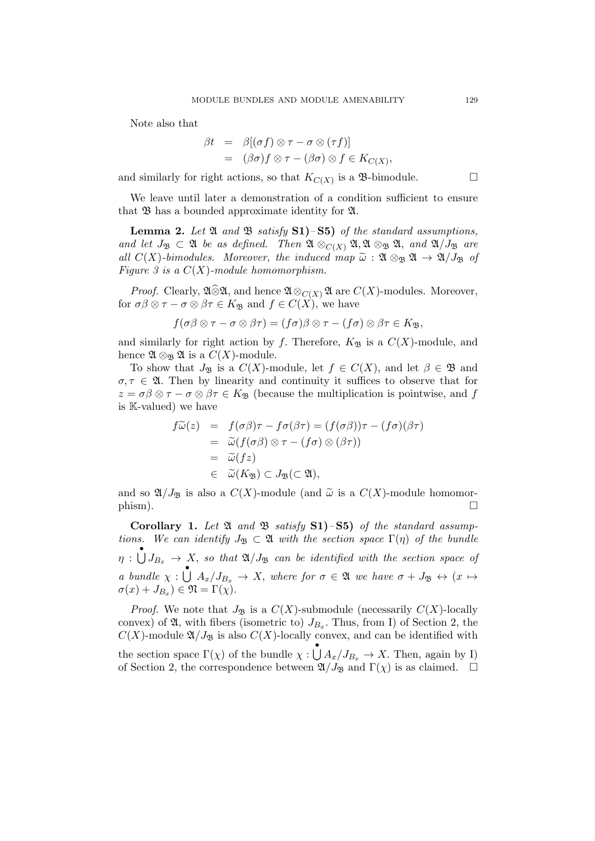Note also that

$$
\beta t = \beta[(\sigma f) \otimes \tau - \sigma \otimes (\tau f)]
$$
  
= 
$$
(\beta \sigma) f \otimes \tau - (\beta \sigma) \otimes f \in K_{C(X)},
$$

and similarly for right actions, so that  $K_{C(X)}$  is a  $\mathfrak{B}$ -bimodule.

We leave until later a demonstration of a condition sufficient to ensure that  $\mathfrak B$  has a bounded approximate identity for  $\mathfrak A$ .

**Lemma 2.** Let  $\mathfrak{A}$  and  $\mathfrak{B}$  satisfy  $S1$ )– $S5$ ) of the standard assumptions, and let  $J_{\mathfrak{B}} \subset \mathfrak{A}$  be as defined. Then  $\mathfrak{A} \otimes_{C(X)} \mathfrak{A}, \mathfrak{A} \otimes_{\mathfrak{B}} \mathfrak{A}$ , and  $\mathfrak{A}/J_{\mathfrak{B}}$  are all  $C(X)$ -bimodules. Moreover, the induced map  $\tilde{\omega}: \mathfrak{A} \otimes_{\mathfrak{B}} \mathfrak{A} \to \mathfrak{A}/J_{\mathfrak{B}}$  of Figure 3 is a  $C(X)$ -module homomorphism.

*Proof.* Clearly,  $\mathfrak{A} \widehat{\otimes} \mathfrak{A}$ , and hence  $\mathfrak{A} \otimes_{C(X)} \mathfrak{A}$  are  $C(X)$ -modules. Moreover, for  $\sigma\beta \otimes \tau - \sigma \otimes \beta \tau \in K_{\mathfrak{B}}$  and  $f \in C(X)$ , we have

$$
f(\sigma\beta\otimes\tau-\sigma\otimes\beta\tau)=(f\sigma)\beta\otimes\tau-(f\sigma)\otimes\beta\tau\in K_{\mathfrak{B}},
$$

and similarly for right action by f. Therefore,  $K_{\mathfrak{B}}$  is a  $C(X)$ -module, and hence  $\mathfrak{A} \otimes_{\mathfrak{B}} \mathfrak{A}$  is a  $C(X)$ -module.

To show that  $J_{\mathfrak{B}}$  is a  $C(X)$ -module, let  $f \in C(X)$ , and let  $\beta \in \mathfrak{B}$  and  $\sigma, \tau \in \mathfrak{A}$ . Then by linearity and continuity it suffices to observe that for  $z = \sigma \beta \otimes \tau - \sigma \otimes \beta \tau \in K_{\mathfrak{B}}$  (because the multiplication is pointwise, and f is K-valued) we have

$$
f\widetilde{\omega}(z) = f(\sigma\beta)\tau - f\sigma(\beta\tau) = (f(\sigma\beta))\tau - (f\sigma)(\beta\tau)
$$
  
=  $\widetilde{\omega}(f(\sigma\beta) \otimes \tau - (f\sigma) \otimes (\beta\tau))$   
=  $\widetilde{\omega}(fz)$   
 $\in \widetilde{\omega}(K_{\mathfrak{B}}) \subset J_{\mathfrak{B}}(\subset \mathfrak{A}),$ 

and so  $\mathfrak{A}/J_{\mathfrak{B}}$  is also a  $C(X)$ -module (and  $\widetilde{\omega}$  is a  $C(X)$ -module homomor-<br>phism).  $\Box$ 

Corollary 1. Let  $\mathfrak A$  and  $\mathfrak B$  satisfy S1)–S5) of the standard assumptions. We can identify  $J_{\mathfrak{B}} \subset \mathfrak{A}$  with the section space  $\Gamma(\eta)$  of the bundle  $\eta : \bigcup_{i=1}^{\infty} J_{B_x} \to X$ , so that  $\mathfrak{A}/J_{\mathfrak{B}}$  can be identified with the section space of a bundle  $\chi : \bigcup_{x} A_x/J_{B_x} \to X$ , where for  $\sigma \in \mathfrak{A}$  we have  $\sigma + J_{\mathfrak{B}} \leftrightarrow (x \mapsto$  $\sigma(x) + J_{B_x}$ )  $\in \mathfrak{N} = \Gamma(\chi)$ .

*Proof.* We note that  $J_{\mathfrak{B}}$  is a  $C(X)$ -submodule (necessarily  $C(X)$ -locally convex) of  $\mathfrak{A}$ , with fibers (isometric to)  $J_{B_x}$ . Thus, from I) of Section 2, the  $C(X)$ -module  $\mathfrak{A}/J_{\mathfrak{B}}$  is also  $C(X)$ -locally convex, and can be identified with the section space  $\Gamma(\chi)$  of the bundle  $\chi: \bigcup^{\bullet} A_x/J_{B_x} \to X$ . Then, again by I) of Section 2, the correspondence between  $\mathfrak{A}/J_{\mathfrak{B}}$  and  $\Gamma(\chi)$  is as claimed.  $\Box$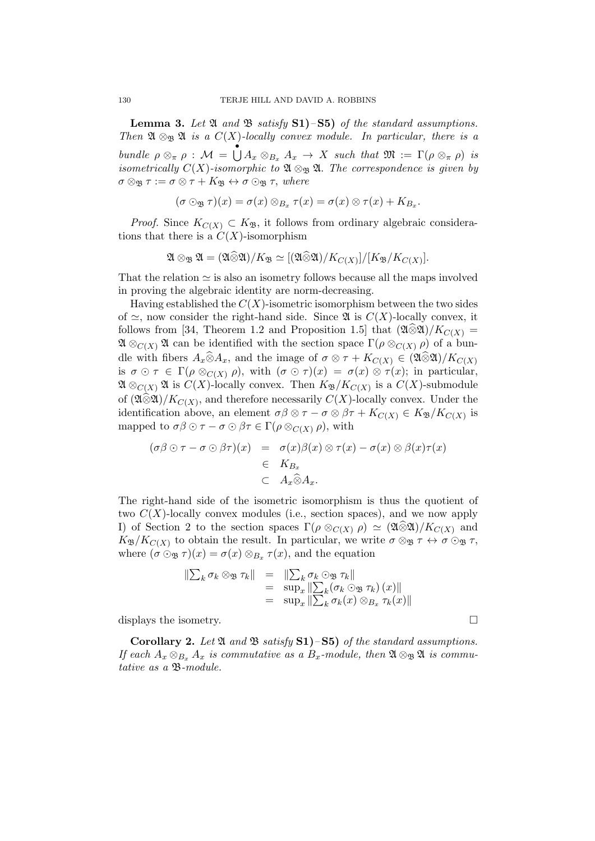**Lemma 3.** Let  $\mathfrak A$  and  $\mathfrak B$  satisfy  $S1$ )– $S5$ ) of the standard assumptions. Then  $\mathfrak{A} \otimes_{\mathfrak{B}} \mathfrak{A}$  is a  $C(X)$ -locally convex module. In particular, there is a bundle  $\rho \otimes_{\pi} \rho : \mathcal{M} = \bigcup_{x \in \mathcal{B}_{\pi}} A_x \to X$  such that  $\mathfrak{M} := \Gamma(\rho \otimes_{\pi} \rho)$  is isometrically  $C(X)$ -isomorphic to  $\mathfrak{A} \otimes_{\mathfrak{B}} \mathfrak{A}$ . The correspondence is given by  $\sigma \otimes_{\mathfrak{B}} \tau := \sigma \otimes \tau + K_{\mathfrak{B}} \leftrightarrow \sigma \odot_{\mathfrak{B}} \tau$ , where

$$
(\sigma \odot_{\mathfrak{B}} \tau)(x) = \sigma(x) \otimes_{B_x} \tau(x) = \sigma(x) \otimes \tau(x) + K_{B_x}.
$$

*Proof.* Since  $K_{C(X)} \subset K_{\mathfrak{B}}$ , it follows from ordinary algebraic considerations that there is a  $C(X)$ -isomorphism

$$
\mathfrak{A} \otimes_{\mathfrak{B}} \mathfrak{A} = (\mathfrak{A} \widehat{\otimes} \mathfrak{A})/K_{\mathfrak{B}} \simeq [(\mathfrak{A} \widehat{\otimes} \mathfrak{A})/K_{C(X)}]/[K_{\mathfrak{B}}/K_{C(X)}].
$$

That the relation  $\simeq$  is also an isometry follows because all the maps involved in proving the algebraic identity are norm-decreasing.

Having established the  $C(X)$ -isometric isomorphism between the two sides of  $\simeq$ , now consider the right-hand side. Since  $\mathfrak{A}$  is  $C(X)$ -locally convex, it follows from [34, Theorem 1.2 and Proposition 1.5] that  $(\mathfrak{A} \otimes \mathfrak{A})/K_{C(X)} =$  $\mathfrak{A} \otimes_{C(X)} \mathfrak{A}$  can be identified with the section space  $\Gamma(\rho \otimes_{C(X)} \rho)$  of a bundle with fibers  $A_x\widehat{\otimes}A_x$ , and the image of  $\sigma\otimes\tau + K_{C(X)} \in (\mathfrak{A}\widehat{\otimes}\mathfrak{A})/K_{C(X)}$ is  $\sigma \odot \tau \in \Gamma(\rho \otimes_{C(X)} \rho)$ , with  $(\sigma \odot \tau)(x) = \sigma(x) \otimes \tau(x)$ ; in particular,  $\mathfrak{A} \otimes_{C(X)} \mathfrak{A}$  is  $C(X)$ -locally convex. Then  $K_{\mathfrak{B}}/K_{C(X)}$  is a  $C(X)$ -submodule of  $(\mathfrak{A} \widehat{\otimes} \mathfrak{A})/K_{C(X)}$ , and therefore necessarily  $C(X)$ -locally convex. Under the identification above, an element  $\sigma\beta \otimes \tau - \sigma \otimes \beta\tau + K_{C(X)} \in K_{\mathfrak{B}}/K_{C(X)}$  is mapped to  $\sigma\beta \odot \tau - \sigma \odot \beta \tau \in \Gamma(\rho \otimes_{C(X)} \rho)$ , with

$$
(\sigma\beta \odot \tau - \sigma \odot \beta\tau)(x) = \sigma(x)\beta(x) \otimes \tau(x) - \sigma(x) \otimes \beta(x)\tau(x)
$$
  

$$
\in K_{B_x}
$$
  

$$
\subset A_x \widehat{\otimes} A_x.
$$

The right-hand side of the isometric isomorphism is thus the quotient of two  $C(X)$ -locally convex modules (i.e., section spaces), and we now apply I) of Section 2 to the section spaces  $\Gamma(\rho \otimes_{C(X)} \rho) \simeq (2\sqrt{2})/K_{C(X)}$  and  $K_{\mathfrak{B}}/K_{C(X)}$  to obtain the result. In particular, we write  $\sigma \otimes_{\mathfrak{B}} \tau \leftrightarrow \sigma \otimes_{\mathfrak{B}} \tau$ , where  $(\sigma \odot_{\mathfrak{B}} \tau)(x) = \sigma(x) \otimes_{B_x} \tau(x)$ , and the equation

$$
\begin{array}{rcl}\n\|\sum_{k} \sigma_{k} \otimes_{\mathfrak{B}} \tau_{k}\| & = & \|\sum_{k} \sigma_{k} \odot_{\mathfrak{B}} \tau_{k}\| \\
& = & \sup_{x} \|\sum_{k} (\sigma_{k} \odot_{\mathfrak{B}} \tau_{k}) (x)\| \\
& = & \sup_{x} \|\sum_{k} \sigma_{k} (x) \otimes_{B_{x}} \tau_{k}(x)\|\n\end{array}
$$

displays the isometry.  $\Box$ 

**Corollary 2.** Let  $\mathfrak{A}$  and  $\mathfrak{B}$  satisfy **S1**)–**S5**) of the standard assumptions. If each  $A_x \otimes_{B_x} A_x$  is commutative as a  $B_x$ -module, then  $\mathfrak{A} \otimes_{\mathfrak{B}} \mathfrak{A}$  is commutative as a B-module.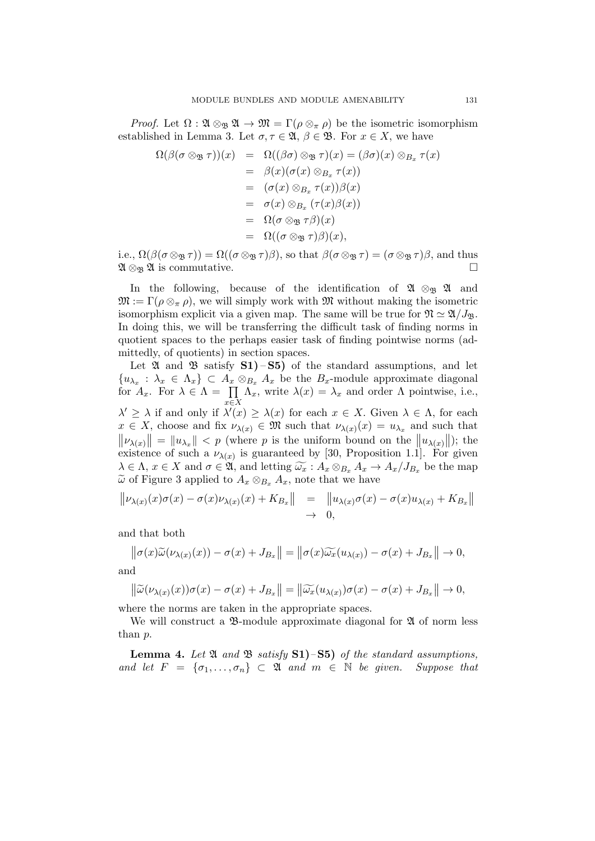*Proof.* Let  $\Omega : \mathfrak{A} \otimes_{\mathfrak{B}} \mathfrak{A} \to \mathfrak{M} = \Gamma(\rho \otimes_{\pi} \rho)$  be the isometric isomorphism established in Lemma 3. Let  $\sigma, \tau \in \mathfrak{A}, \beta \in \mathfrak{B}$ . For  $x \in X$ , we have

$$
\Omega(\beta(\sigma \otimes_{\mathfrak{B}} \tau))(x) = \Omega((\beta \sigma) \otimes_{\mathfrak{B}} \tau)(x) = (\beta \sigma)(x) \otimes_{B_x} \tau(x)
$$
  
\n
$$
= \beta(x)(\sigma(x) \otimes_{B_x} \tau(x))
$$
  
\n
$$
= (\sigma(x) \otimes_{B_x} \tau(x))\beta(x)
$$
  
\n
$$
= \sigma(x) \otimes_{B_x} (\tau(x)\beta(x))
$$
  
\n
$$
= \Omega(\sigma \otimes_{\mathfrak{B}} \tau(\beta))(x)
$$
  
\n
$$
= \Omega((\sigma \otimes_{\mathfrak{B}} \tau)\beta)(x),
$$

i.e.,  $\Omega(\beta(\sigma\otimes_{\mathfrak{B}}\tau)) = \Omega((\sigma\otimes_{\mathfrak{B}}\tau)\beta)$ , so that  $\beta(\sigma\otimes_{\mathfrak{B}}\tau) = (\sigma\otimes_{\mathfrak{B}}\tau)\beta$ , and thus  $\mathfrak{A} \otimes_{\mathfrak{B}} \mathfrak{A}$  is commutative.

In the following, because of the identification of  $\mathfrak{A} \otimes_{\mathfrak{B}} \mathfrak{A}$  and  $\mathfrak{M} := \Gamma(\rho \otimes_{\pi} \rho)$ , we will simply work with  $\mathfrak{M}$  without making the isometric isomorphism explicit via a given map. The same will be true for  $\mathfrak{N} \simeq \mathfrak{A}/J_{\mathfrak{B}}$ . In doing this, we will be transferring the difficult task of finding norms in quotient spaces to the perhaps easier task of finding pointwise norms (admittedly, of quotients) in section spaces.

Let  $\mathfrak A$  and  $\mathfrak B$  satisfy  $S1$ ) – S5) of the standard assumptions, and let  $\{u_{\lambda_x} : \lambda_x \in \Lambda_x\} \subset A_x \otimes_{B_x} A_x$  be the  $B_x$ -module approximate diagonal for  $A_x$ . For  $\lambda \in \Lambda = \prod$ x∈X  $\Lambda_x$ , write  $\lambda(x) = \lambda_x$  and order  $\Lambda$  pointwise, i.e.,  $\lambda' \geq \lambda$  if and only if  $\lambda'(x) \geq \lambda(x)$  for each  $x \in X$ . Given  $\lambda \in \Lambda$ , for each  $x \in X$ , choose and fix  $\nu_{\lambda(x)} \in \mathfrak{M}$  such that  $\nu_{\lambda(x)}(x) = u_{\lambda_x}$  and such that  $\|\nu_{\lambda(x)}\| = \|u_{\lambda_x}\| < p$  (where p is the uniform bound on the  $\|u_{\lambda(x)}\|$ ); the existence of such a  $\nu_{\lambda(x)}$  is guaranteed by [30, Proposition 1.1]. For given  $\lambda \in \Lambda$ ,  $x \in X$  and  $\sigma \in \mathfrak{A}$ , and letting  $\widetilde{\omega_x} : A_x \otimes_{B_x} A_x \to A_x/J_{B_x}$  be the map  $\widetilde{\omega}$  of Figure 3 applied to  $A_x \otimes_{B_x} A_x$ , note that we have

$$
\|\nu_{\lambda(x)}(x)\sigma(x) - \sigma(x)\nu_{\lambda(x)}(x) + K_{B_x}\| = \|u_{\lambda(x)}\sigma(x) - \sigma(x)u_{\lambda(x)} + K_{B_x}\| \n\to 0,
$$

and that both

$$
\left\|\sigma(x)\widetilde{\omega}(\nu_{\lambda(x)}(x)) - \sigma(x) + J_{B_x}\right\| = \left\|\sigma(x)\widetilde{\omega_x}(u_{\lambda(x)}) - \sigma(x) + J_{B_x}\right\| \to 0,
$$

and

$$
\left\|\widetilde{\omega}(\nu_{\lambda(x)}(x))\sigma(x)-\sigma(x)+J_{B_x}\right\|=\left\|\widetilde{\omega_x}(u_{\lambda(x)})\sigma(x)-\sigma(x)+J_{B_x}\right\|\to 0,
$$

where the norms are taken in the appropriate spaces.

We will construct a  $\mathfrak{B}\text{-module}$  approximate diagonal for  $\mathfrak A$  of norm less than p.

**Lemma 4.** Let  $\mathfrak{A}$  and  $\mathfrak{B}$  satisfy **S1**)–**S5**) of the standard assumptions, and let  $F = {\sigma_1, \ldots, \sigma_n} \subset \mathfrak{A}$  and  $m \in \mathbb{N}$  be given. Suppose that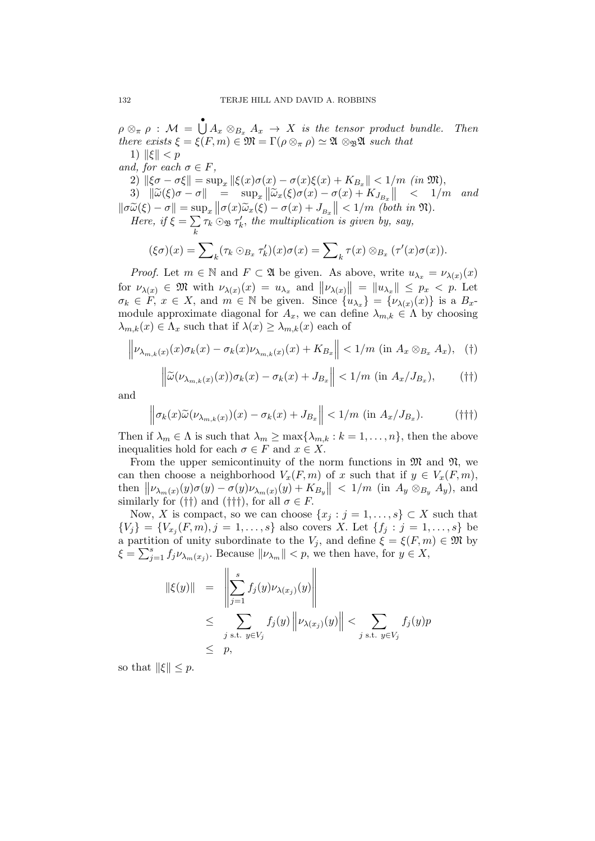$\rho \otimes_{\pi} \rho : \mathcal{M} = \bigcup_{i=1}^{\infty} A_{x} \otimes_{B_{x}} A_{x} \rightarrow X$  is the tensor product bundle. Then there exists  $\xi = \xi(F, m) \in \mathfrak{M} = \Gamma(\rho \otimes_{\pi} \rho) \simeq \mathfrak{A} \otimes_{\mathfrak{B}} \mathfrak{A}$  such that 1)  $\|\xi\| < p$ 

and, for each  $\sigma \in F$ ,

2)  $\|\xi\sigma - \sigma\xi\| = \sup_x \|\xi(x)\sigma(x) - \sigma(x)\xi(x) + K_{B_x}\| < 1/m$  (in  $\mathfrak{M}$ ),

3)  $\|\widetilde{\omega}(\xi)\sigma - \sigma\| = \sup_x \|\widetilde{\omega}_x(\xi)\sigma(x) - \sigma(x) + K_{J_{B_x}}\| < 1/m$  and  $\|\sigma \widetilde{\omega}(\xi) - \sigma\| = \sup_x \|\sigma(x)\widetilde{\omega}_x(\xi) - \sigma(x) + J_{B_x}\| < 1/m$  (both in  $\mathfrak{N}$ ).<br>Here if  $\xi = \sum x_i \otimes_{\mathfrak{N}} x'_i$  the multiplication is given by say

Here, if  $\xi = \sum$ k  $\tau_k \odot_{\mathfrak{B}} \tau'_k$ , the multiplication is given by, say,

$$
(\xi \sigma)(x) = \sum_{k} (\tau_k \odot_{B_x} \tau'_k)(x) \sigma(x) = \sum_{k} \tau(x) \otimes_{B_x} (\tau'(x) \sigma(x)).
$$

*Proof.* Let  $m \in \mathbb{N}$  and  $F \subset \mathfrak{A}$  be given. As above, write  $u_{\lambda_x} = \nu_{\lambda(x)}(x)$ for  $\nu_{\lambda(x)} \in \mathfrak{M}$  with  $\nu_{\lambda(x)}(x) = u_{\lambda_x}$  and  $||\nu_{\lambda(x)}|| = ||u_{\lambda_x}|| \leq p_x < p$ . Let  $\sigma_k \in F$ ,  $x \in X$ , and  $m \in \mathbb{N}$  be given. Since  $\{u_{\lambda_x}\} = \{\nu_{\lambda(x)}(x)\}\$ is a  $B_x$ module approximate diagonal for  $A_x$ , we can define  $\lambda_{m,k} \in \Lambda$  by choosing  $\lambda_{m,k}(x) \in \Lambda_x$  such that if  $\lambda(x) \geq \lambda_{m,k}(x)$  each of

$$
\left\|\nu_{\lambda_{m,k}(x)}(x)\sigma_{k}(x)-\sigma_{k}(x)\nu_{\lambda_{m,k}(x)}(x)+K_{B_x}\right\|<1/m\,\left(\text{in}\;A_x\otimes_{B_x}A_x\right),\quad\left(\dagger\right)
$$

$$
\left\|\widetilde{\omega}(\nu_{\lambda_{m,k}(x)}(x))\sigma_k(x) - \sigma_k(x) + J_{B_x}\right\| < 1/m \text{ (in } A_x/J_{B_x}), \quad (\dagger \dagger)
$$

and

$$
\left\|\sigma_k(x)\widetilde{\omega}(\nu_{\lambda_{m,k}(x)})(x) - \sigma_k(x) + J_{B_x}\right\| < 1/m \text{ (in } A_x/J_{B_x}).\tag{11}
$$

Then if  $\lambda_m \in \Lambda$  is such that  $\lambda_m \ge \max\{\lambda_{m,k} : k = 1, \ldots, n\}$ , then the above inequalities hold for each  $\sigma \in F$  and  $x \in X$ .

From the upper semicontinuity of the norm functions in  $\mathfrak{M}$  and  $\mathfrak{N}$ , we can then choose a neighborhood  $V_x(F, m)$  of x such that if  $y \in V_x(F, m)$ , then  $\|\nu_{\lambda_m(x)}(y)\sigma(y)-\sigma(y)\nu_{\lambda_m(x)}(y)+K_{B_y}\| < 1/m$  (in  $A_y \otimes_{B_y} A_y$ ), and similarly for (††) and (†††), for all  $\sigma \in F$ .

Now, X is compact, so we can choose  $\{x_j : j = 1, \ldots, s\} \subset X$  such that  ${V_j} = {V_{x_j}(F,m), j = 1, ..., s}$  also covers X. Let  ${f_j : j = 1, ..., s}$  be a partition of unity subordinate to the  $V_j$ , and define  $\xi = \xi(F, m) \in \mathfrak{M}$  by  $\xi = \sum_{j=1}^s f_j \nu_{\lambda_m(x_j)}$ . Because  $\|\nu_{\lambda_m}\| < p$ , we then have, for  $y \in X$ ,

$$
\begin{array}{rcl}\n\|\xi(y)\| & = & \left\|\sum_{j=1}^{s} f_j(y)\nu_{\lambda(x_j)}(y)\right\| \\
& \leq & \sum_{j \text{ s.t. } y \in V_j} f_j(y) \left\|\nu_{\lambda(x_j)}(y)\right\| < \sum_{j \text{ s.t. } y \in V_j} f_j(y)p \\
& \leq & p,\n\end{array}
$$

so that  $\|\xi\| \leq p$ .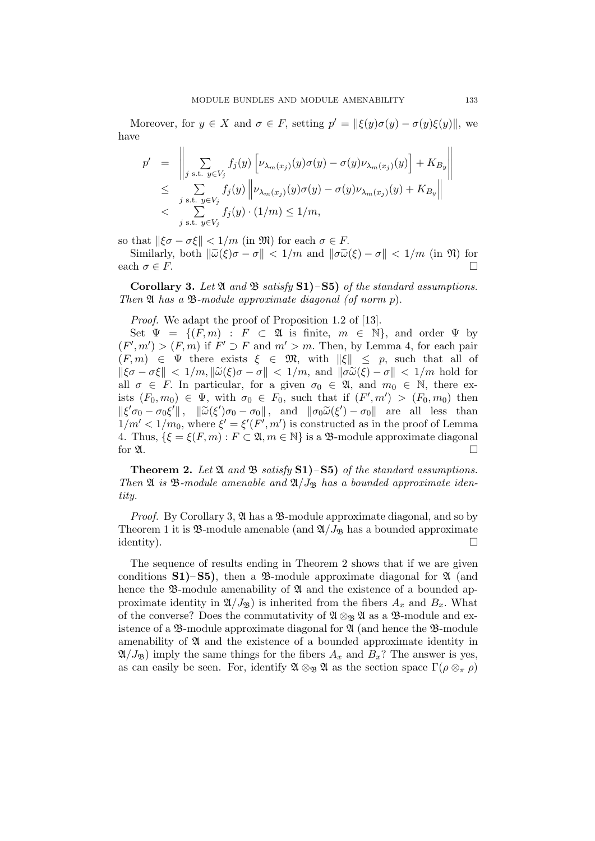Moreover, for  $y \in X$  and  $\sigma \in F$ , setting  $p' = ||\xi(y)\sigma(y) - \sigma(y)\xi(y)||$ , we have

$$
p' = \left\| \sum_{j \text{ s.t. } y \in V_j} f_j(y) \left[ \nu_{\lambda_m(x_j)}(y) \sigma(y) - \sigma(y) \nu_{\lambda_m(x_j)}(y) \right] + K_{B_y} \right\|
$$
  
\$\leq\$ 
$$
\sum_{j \text{ s.t. } y \in V_j} f_j(y) \left\| \nu_{\lambda_m(x_j)}(y) \sigma(y) - \sigma(y) \nu_{\lambda_m(x_j)}(y) + K_{B_y} \right\|
$$
  
\$
$$
< \sum_{j \text{ s.t. } y \in V_j} f_j(y) \cdot (1/m) \leq 1/m,
$$

so that  $\|\xi\sigma - \sigma\xi\| < 1/m$  (in  $\mathfrak{M}$ ) for each  $\sigma \in F$ .

Similarly, both  $\|\widetilde{\omega}(\xi)\sigma - \sigma\| < 1/m$  and  $\|\sigma \widetilde{\omega}(\xi) - \sigma\| < 1/m$  (in  $\mathfrak{N}$ ) for the  $\sigma \in F$ each  $\sigma \in F$ .

Corollary 3. Let  $\mathfrak A$  and  $\mathfrak B$  satisfy S1)–S5) of the standard assumptions. Then  $\mathfrak A$  has a  $\mathfrak B$ -module approximate diagonal (of norm p).

Proof. We adapt the proof of Proposition 1.2 of [13].

Set  $\Psi = \{(F, m) : F \subset \mathfrak{A}$  is finite,  $m \in \mathbb{N}\},$  and order  $\Psi$  by  $(F', m') > (F, m)$  if  $F' \supset F$  and  $m' > m$ . Then, by Lemma 4, for each pair  $(F, m) \in \Psi$  there exists  $\xi \in \mathfrak{M}$ , with  $\|\xi\| \leq p$ , such that all of  $\|\xi\sigma - \sigma\xi\| < 1/m, \|\widetilde{\omega}(\xi)\sigma - \sigma\| < 1/m$ , and  $\|\sigma \widetilde{\omega}(\xi) - \sigma\| < 1/m$  hold for all  $\sigma \in F$ . In particular, for a given  $\sigma_0 \in \mathfrak{A}$ , and  $m_0 \in \mathbb{N}$ , there exists  $(F_0, m_0) \in \Psi$ , with  $\sigma_0 \in F_0$ , such that if  $(F', m') > (F_0, m_0)$  then  $\|\xi' \sigma_0 - \sigma_0 \xi'\|$ ,  $\|\widetilde{\omega}(\xi') \sigma_0 - \sigma_0\|$ , and  $\|\sigma_0 \widetilde{\omega}(\xi') - \sigma_0\|$  are all less than<br>1/m' < 1/me where  $\xi' - \xi'(F', m')$  is constructed as in the proof of Lemma  $1/m' < 1/m_0$ , where  $\xi' = \xi'(F', m')$  is constructed as in the proof of Lemma 4. Thus,  $\{\xi = \xi(F, m) : F \subset \mathfrak{A}, m \in \mathbb{N}\}\$ is a  $\mathfrak{B}\text{-module approximate diagonal}$ for  $\mathfrak{A}$ .

**Theorem 2.** Let  $\mathfrak{A}$  and  $\mathfrak{B}$  satisfy  $S1$ )– $S5$ ) of the standard assumptions. Then  $\mathfrak A$  is  $\mathfrak B$ -module amenable and  $\mathfrak A/J_{\mathfrak B}$  has a bounded approximate identity.

Proof. By Corollary 3, 24 has a  $\mathcal{B}$ -module approximate diagonal, and so by Theorem 1 it is  $\mathfrak{B}\text{-module amenable}$  (and  $\mathfrak{A}/J_{\mathfrak{B}}$  has a bounded approximate  $\Box$ identity).

The sequence of results ending in Theorem 2 shows that if we are given conditions  $S1$ )– $S5$ ), then a  $\mathcal{B}$ -module approximate diagonal for  $\mathcal{A}$  (and hence the  $\mathfrak{B}\text{-module amenability of } \mathfrak{A}$  and the existence of a bounded approximate identity in  $\mathfrak{A}/J_{\mathfrak{B}}$  is inherited from the fibers  $A_x$  and  $B_x$ . What of the converse? Does the commutativity of  $\mathfrak{A} \otimes_{\mathfrak{B}} \mathfrak{A}$  as a  $\mathfrak{B}\text{-module}$  and existence of a  $\mathfrak{B}\text{-module approximate diagonal for } \mathfrak{A}$  (and hence the  $\mathfrak{B}\text{-module}$ amenability of  $\mathfrak A$  and the existence of a bounded approximate identity in  $\mathfrak{A}/J_{\mathfrak{B}}$ ) imply the same things for the fibers  $A_x$  and  $B_x$ ? The answer is yes, as can easily be seen. For, identify  $\mathfrak{A} \otimes_{\mathfrak{B}} \mathfrak{A}$  as the section space  $\Gamma(\rho \otimes_{\pi} \rho)$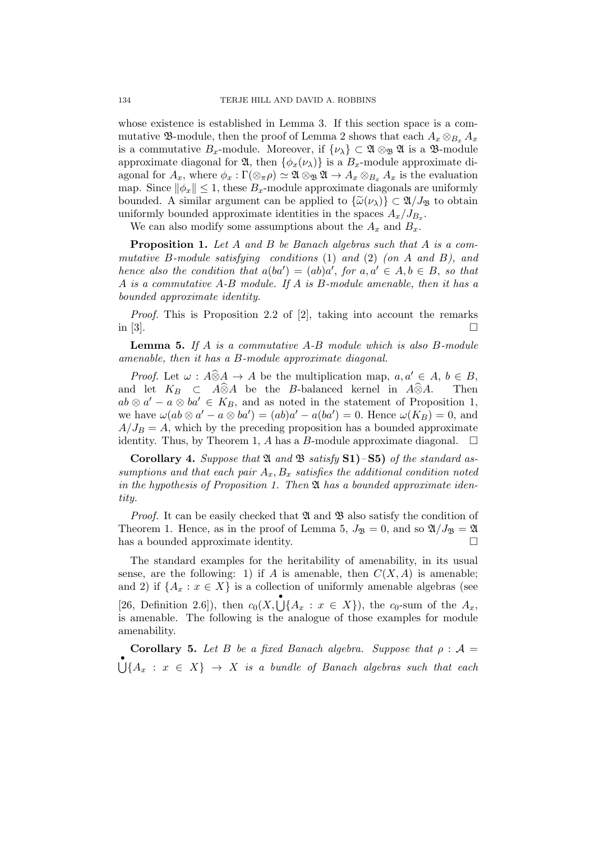whose existence is established in Lemma 3. If this section space is a commutative  $\mathfrak{B}\text{-module}$ , then the proof of Lemma 2 shows that each  $A_x \otimes_{B_x} A_x$ is a commutative  $B_x$ -module. Moreover, if  $\{\nu_\lambda\} \subset \mathfrak{A} \otimes_{\mathfrak{B}} \mathfrak{A}$  is a  $\mathfrak{B}$ -module approximate diagonal for  $\mathfrak{A}$ , then  $\{\phi_x(\nu_\lambda)\}\$ is a  $B_x$ -module approximate diagonal for  $A_x$ , where  $\phi_x : \Gamma(\otimes_{\pi} \rho) \simeq \mathfrak{A} \otimes_{\mathfrak{B}} \mathfrak{A} \to A_x \otimes_{B_x} A_x$  is the evaluation map. Since  $\|\phi_x\| \leq 1$ , these  $B_x$ -module approximate diagonals are uniformly bounded. A similar argument can be applied to  $\{\widetilde{\omega}(\nu_{\lambda})\}\subset \mathfrak{A}/J_{\mathfrak{B}}$  to obtain uniformly bounded approximate identities in the spaces  $A_x/J_{B_x}$ .

We can also modify some assumptions about the  $A_x$  and  $B_x$ .

Proposition 1. Let A and B be Banach algebras such that A is a commutative B-module satisfying conditions  $(1)$  and  $(2)$  (on A and B), and hence also the condition that  $a(ba') = (ab)a'$ , for  $a, a' \in A, b \in B$ , so that A is a commutative A-B module. If A is B-module amenable, then it has a bounded approximate identity.

Proof. This is Proposition 2.2 of [2], taking into account the remarks in [3].

Lemma 5. If A is a commutative A-B module which is also B-module amenable, then it has a B-module approximate diagonal.

*Proof.* Let  $\omega$  :  $A\widehat{\otimes}A \to A$  be the multiplication map,  $a, a' \in A$ ,  $b \in B$ , d let  $K_B \subset A\widehat{\otimes}A$  be the *B*-balanced kernel in  $A\widehat{\otimes}A$ . Then and let  $K_B \subset A\widehat{\otimes}A$  be the B-balanced kernel in  $A\widehat{\otimes}A$ .  $ab \otimes a' - a \otimes ba' \in K_B$ , and as noted in the statement of Proposition 1, we have  $\omega(ab \otimes a' - a \otimes ba') = (ab)a' - a(ba') = 0$ . Hence  $\omega(K_B) = 0$ , and  $A/J_B = A$ , which by the preceding proposition has a bounded approximate identity. Thus, by Theorem 1, A has a B-module approximate diagonal.  $\Box$ 

**Corollary 4.** Suppose that  $\mathfrak A$  and  $\mathfrak B$  satisfy  $S1$ )– $S5$ ) of the standard assumptions and that each pair  $A_x, B_x$  satisfies the additional condition noted in the hypothesis of Proposition 1. Then  $\mathfrak A$  has a bounded approximate identity.

*Proof.* It can be easily checked that  $\mathfrak A$  and  $\mathfrak B$  also satisfy the condition of Theorem 1. Hence, as in the proof of Lemma 5,  $J_{\mathfrak{B}} = 0$ , and so  $\mathfrak{A}/J_{\mathfrak{B}} = \mathfrak{A}$ has a bounded approximate identity.

The standard examples for the heritability of amenability, in its usual sense, are the following: 1) if A is amenable, then  $C(X, A)$  is amenable; and 2) if  $\{A_x : x \in X\}$  is a collection of uniformly amenable algebras (see [26, Definition 2.6]), then  $c_0(X, \bigcup_{i=1}^{n} \{A_x : x \in X\})$ , the  $c_0$ -sum of the  $A_x$ , is amenable. The following is the analogue of those examples for module amenability.

**Corollary 5.** Let B be a fixed Banach algebra. Suppose that  $\rho : A =$  $\bigcup\{A_x : x \in X\} \rightarrow X$  is a bundle of Banach algebras such that each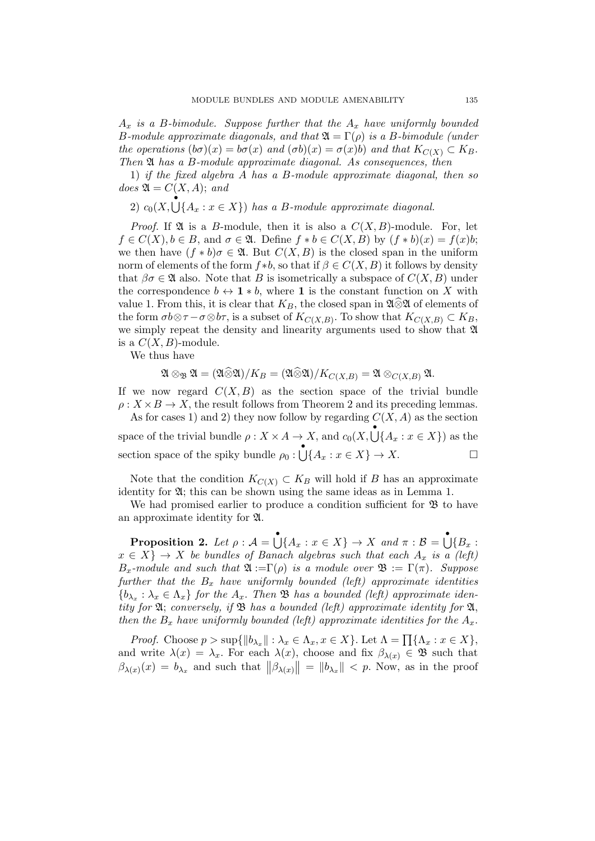$A_x$  is a B-bimodule. Suppose further that the  $A_x$  have uniformly bounded B-module approximate diagonals, and that  $\mathfrak{A} = \Gamma(\rho)$  is a B-bimodule (under the operations  $(b\sigma)(x) = b\sigma(x)$  and  $(\sigma b)(x) = \sigma(x)b$  and that  $K_{C(X)} \subset K_B$ . Then  $\mathfrak A$  has a B-module approximate diagonal. As consequences, then

1) if the fixed algebra A has a B-module approximate diagonal, then so does  $\mathfrak{A} = C(X, A);$  and

2)  $c_0(X, \bigcup_{i=1}^{n} \{A_x : x \in X\})$  has a B-module approximate diagonal.

*Proof.* If  $\mathfrak A$  is a B-module, then it is also a  $C(X, B)$ -module. For, let  $f \in C(X), b \in B$ , and  $\sigma \in \mathfrak{A}$ . Define  $f * b \in C(X, B)$  by  $(f * b)(x) = f(x)b$ ; we then have  $(f * b)\sigma \in \mathfrak{A}$ . But  $C(X, B)$  is the closed span in the uniform norm of elements of the form  $f * b$ , so that if  $\beta \in C(X, B)$  it follows by density that  $\beta \sigma \in \mathfrak{A}$  also. Note that B is isometrically a subspace of  $C(X, B)$  under the correspondence  $b \leftrightarrow 1 * b$ , where 1 is the constant function on X with value 1. From this, it is clear that  $K_B$ , the closed span in  $\mathfrak{A} \widehat{\otimes} \mathfrak{A}$  of elements of the form  $\sigma b \otimes \tau - \sigma \otimes b\tau$ , is a subset of  $K_{C(X,B)}$ . To show that  $K_{C(X,B)} \subset K_B$ , we simply repeat the density and linearity arguments used to show that A is a  $C(X, B)$ -module.

We thus have

$$
\mathfrak{A}\otimes_{\mathfrak{B}}\mathfrak{A}=(\mathfrak{A}\widehat{\otimes} \mathfrak{A})/K_{B}=(\mathfrak{A}\widehat{\otimes} \mathfrak{A})/K_{C(X,B)}=\mathfrak{A}\otimes_{C(X,B)}\mathfrak{A}.
$$

If we now regard  $C(X, B)$  as the section space of the trivial bundle  $\rho: X \times B \to X$ , the result follows from Theorem 2 and its preceding lemmas.

As for cases 1) and 2) they now follow by regarding  $C(X, A)$  as the section space of the trivial bundle  $\rho: X \times A \to X$ , and  $c_0(X, \bigcup \{A_x : x \in X\})$  as the section space of the spiky bundle  $\rho_0: \bigcup \{A_x : x \in X\} \to X.$ 

Note that the condition  $K_{C(X)} \subset K_B$  will hold if B has an approximate identity for A; this can be shown using the same ideas as in Lemma 1.

We had promised earlier to produce a condition sufficient for  $\mathfrak{B}$  to have an approximate identity for A.

**Proposition 2.** Let  $\rho : A = \bigcup_{X} \{A_x : x \in X\} \to X$  and  $\pi : B = \bigcup_{X} \{B_x : x \in X\}$  $x \in X$   $\} \rightarrow X$  be bundles of Banach algebras such that each  $A_x$  is a (left)  $B_x$ -module and such that  $\mathfrak{A} := \Gamma(\rho)$  is a module over  $\mathfrak{B} := \Gamma(\pi)$ . Suppose further that the  $B_x$  have uniformly bounded (left) approximate identities  ${b_{\lambda_x} : \lambda_x \in \Lambda_x}$  for the  $A_x$ . Then  $\mathfrak B$  has a bounded (left) approximate identity for  $\mathfrak{A}$ ; conversely, if  $\mathfrak{B}$  has a bounded (left) approximate identity for  $\mathfrak{A}$ , then the  $B_x$  have uniformly bounded (left) approximate identities for the  $A_x$ .

*Proof.* Choose  $p > \sup\{\|b_{\lambda_x}\| : \lambda_x \in \Lambda_x, x \in X\}$ . Let  $\Lambda = \prod\{\Lambda_x : x \in X\}$ , and write  $\lambda(x) = \lambda_x$ . For each  $\lambda(x)$ , choose and fix  $\beta_{\lambda(x)} \in \mathfrak{B}$  such that  $\beta_{\lambda(x)}(x) = b_{\lambda_x}$  and such that  $\|\beta_{\lambda(x)}\| = \|b_{\lambda_x}\| < p$ . Now, as in the proof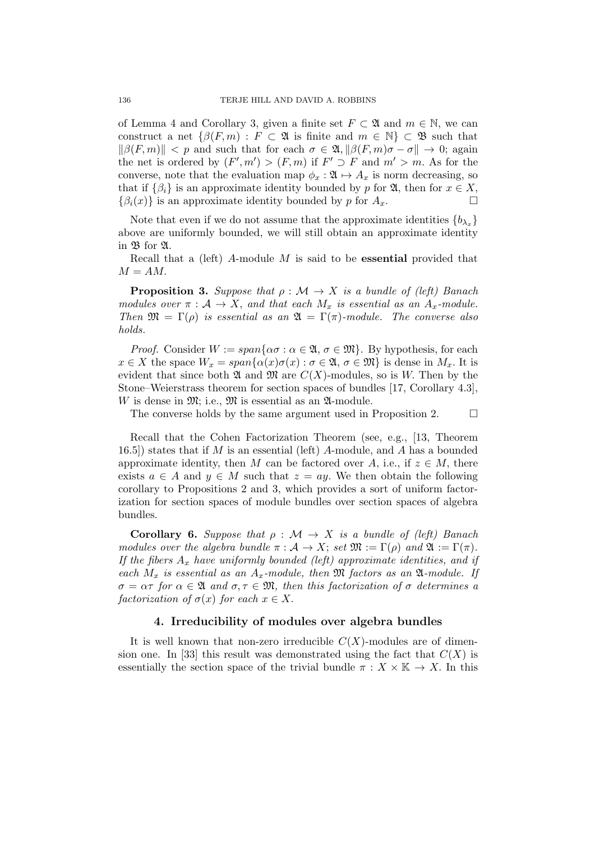of Lemma 4 and Corollary 3, given a finite set  $F \subset \mathfrak{A}$  and  $m \in \mathbb{N}$ , we can construct a net  $\{\beta(F, m) : F \subset \mathfrak{A}$  is finite and  $m \in \mathbb{N}\}\subset \mathfrak{B}$  such that  $\|\beta(F, m)\| < p$  and such that for each  $\sigma \in \mathfrak{A}, \|\beta(F, m)\sigma - \sigma\| \to 0;$  again the net is ordered by  $(F', m') > (F, m)$  if  $F' \supset F$  and  $m' > m$ . As for the converse, note that the evaluation map  $\phi_x : \mathfrak{A} \mapsto A_x$  is norm decreasing, so that if  $\{\beta_i\}$  is an approximate identity bounded by p for  $\mathfrak{A}$ , then for  $x \in X$ ,  $\{\beta_i(x)\}\$ is an approximate identity bounded by p for  $A_x$ .

Note that even if we do not assume that the approximate identities  ${b_{\lambda_x}}$ above are uniformly bounded, we will still obtain an approximate identity in B for A.

Recall that a (left) A-module  $M$  is said to be **essential** provided that  $M = AM$ .

**Proposition 3.** Suppose that  $\rho : \mathcal{M} \to X$  is a bundle of (left) Banach modules over  $\pi : \mathcal{A} \to X$ , and that each  $M_x$  is essential as an  $A_x$ -module. Then  $\mathfrak{M} = \Gamma(\rho)$  is essential as an  $\mathfrak{A} = \Gamma(\pi)$ -module. The converse also holds.

*Proof.* Consider  $W := span\{\alpha \sigma : \alpha \in \mathfrak{A}, \sigma \in \mathfrak{M}\}\$ . By hypothesis, for each  $x \in X$  the space  $W_x = span{\alpha(x)\sigma(x) : \sigma \in \mathfrak{A}, \sigma \in \mathfrak{M}}$  is dense in  $M_x$ . It is evident that since both  $\mathfrak A$  and  $\mathfrak M$  are  $C(X)$ -modules, so is W. Then by the Stone–Weierstrass theorem for section spaces of bundles [17, Corollary 4.3], W is dense in  $\mathfrak{M}$ ; i.e.,  $\mathfrak{M}$  is essential as an  $\mathfrak{A}\text{-module}$ .

The converse holds by the same argument used in Proposition 2.  $\Box$ 

Recall that the Cohen Factorization Theorem (see, e.g., [13, Theorem 16.5) states that if M is an essential (left) A-module, and A has a bounded approximate identity, then M can be factored over A, i.e., if  $z \in M$ , there exists  $a \in A$  and  $y \in M$  such that  $z = ay$ . We then obtain the following corollary to Propositions 2 and 3, which provides a sort of uniform factorization for section spaces of module bundles over section spaces of algebra bundles.

**Corollary 6.** Suppose that  $\rho : \mathcal{M} \to X$  is a bundle of (left) Banach modules over the algebra bundle  $\pi : A \to X$ ; set  $\mathfrak{M} := \Gamma(\rho)$  and  $\mathfrak{A} := \Gamma(\pi)$ . If the fibers  $A_x$  have uniformly bounded (left) approximate identities, and if each  $M_x$  is essential as an  $A_x$ -module, then  $\mathfrak M$  factors as an  $\mathfrak A$ -module. If  $\sigma = \alpha \tau$  for  $\alpha \in \mathfrak{A}$  and  $\sigma, \tau \in \mathfrak{M}$ , then this factorization of  $\sigma$  determines a factorization of  $\sigma(x)$  for each  $x \in X$ .

#### 4. Irreducibility of modules over algebra bundles

It is well known that non-zero irreducible  $C(X)$ -modules are of dimension one. In [33] this result was demonstrated using the fact that  $C(X)$  is essentially the section space of the trivial bundle  $\pi : X \times \mathbb{K} \to X$ . In this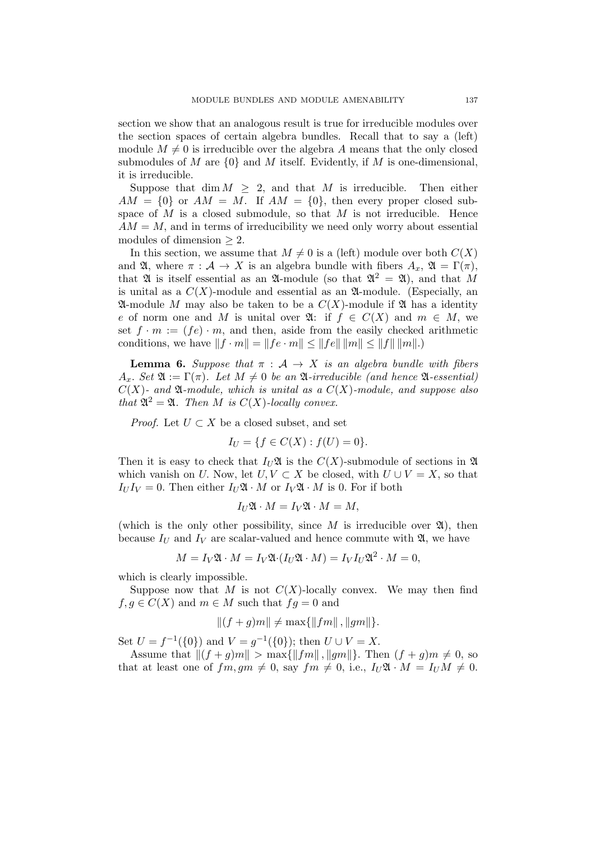section we show that an analogous result is true for irreducible modules over the section spaces of certain algebra bundles. Recall that to say a (left) module  $M \neq 0$  is irreducible over the algebra A means that the only closed submodules of M are  $\{0\}$  and M itself. Evidently, if M is one-dimensional, it is irreducible.

Suppose that dim  $M \geq 2$ , and that M is irreducible. Then either  $AM = \{0\}$  or  $AM = M$ . If  $AM = \{0\}$ , then every proper closed subspace of  $M$  is a closed submodule, so that  $M$  is not irreducible. Hence  $AM = M$ , and in terms of irreducibility we need only worry about essential modules of dimension  $\geq 2$ .

In this section, we assume that  $M \neq 0$  is a (left) module over both  $C(X)$ and  $\mathfrak{A}$ , where  $\pi : \mathcal{A} \to X$  is an algebra bundle with fibers  $A_x$ ,  $\mathfrak{A} = \Gamma(\pi)$ , that  $\mathfrak A$  is itself essential as an  $\mathfrak A$ -module (so that  $\mathfrak A^2 = \mathfrak A$ ), and that M is unital as a  $C(X)$ -module and essential as an  $\mathfrak{A}$ -module. (Especially, an  $\mathfrak A$ -module M may also be taken to be a  $C(X)$ -module if  $\mathfrak A$  has a identity e of norm one and M is unital over  $\mathfrak{A}:$  if  $f \in C(X)$  and  $m \in M$ , we set  $f \cdot m := (fe) \cdot m$ , and then, aside from the easily checked arithmetic conditions, we have  $||f \cdot m|| = ||fe \cdot m|| \le ||fe|| \, ||m|| \le ||f|| \, ||m||$ .)

**Lemma 6.** Suppose that  $\pi : A \rightarrow X$  is an algebra bundle with fibers  $A_x$ . Set  $\mathfrak{A} := \Gamma(\pi)$ . Let  $M \neq 0$  be an  $\mathfrak{A}$ -irreducible (and hence  $\mathfrak{A}$ -essential)  $C(X)$ - and  $\mathfrak A$ -module, which is unital as a  $C(X)$ -module, and suppose also that  $\mathfrak{A}^2 = \mathfrak{A}$ . Then M is  $C(X)$ -locally convex.

*Proof.* Let  $U \subset X$  be a closed subset, and set

$$
I_U = \{ f \in C(X) : f(U) = 0 \}.
$$

Then it is easy to check that  $I_U \mathfrak{A}$  is the  $C(X)$ -submodule of sections in  $\mathfrak{A}$ which vanish on U. Now, let  $U, V \subset X$  be closed, with  $U \cup V = X$ , so that  $I_U I_V = 0$ . Then either  $I_U \mathfrak{A} \cdot M$  or  $I_V \mathfrak{A} \cdot M$  is 0. For if both

$$
I_U \mathfrak{A} \cdot M = I_V \mathfrak{A} \cdot M = M,
$$

(which is the only other possibility, since M is irreducible over  $\mathfrak{A}$ ), then because  $I_U$  and  $I_V$  are scalar-valued and hence commute with  $\mathfrak{A}$ , we have

$$
M = I_V \mathfrak{A} \cdot M = I_V \mathfrak{A} \cdot (I_U \mathfrak{A} \cdot M) = I_V I_U \mathfrak{A}^2 \cdot M = 0,
$$

which is clearly impossible.

Suppose now that M is not  $C(X)$ -locally convex. We may then find  $f, g \in C(X)$  and  $m \in M$  such that  $fg = 0$  and

$$
||(f+g)m|| \neq \max\{||fm||, ||gm||\}.
$$

Set  $U = f^{-1}(\{0\})$  and  $V = g^{-1}(\{0\})$ ; then  $U \cup V = X$ .

Assume that  $||(f + g)m|| > \max{||fm||, ||gm||}.$  Then  $(f + g)m \neq 0$ , so that at least one of  $fm, gm \neq 0$ , say  $fm \neq 0$ , i.e.,  $I_U \mathfrak{A} \cdot M = I_U M \neq 0$ .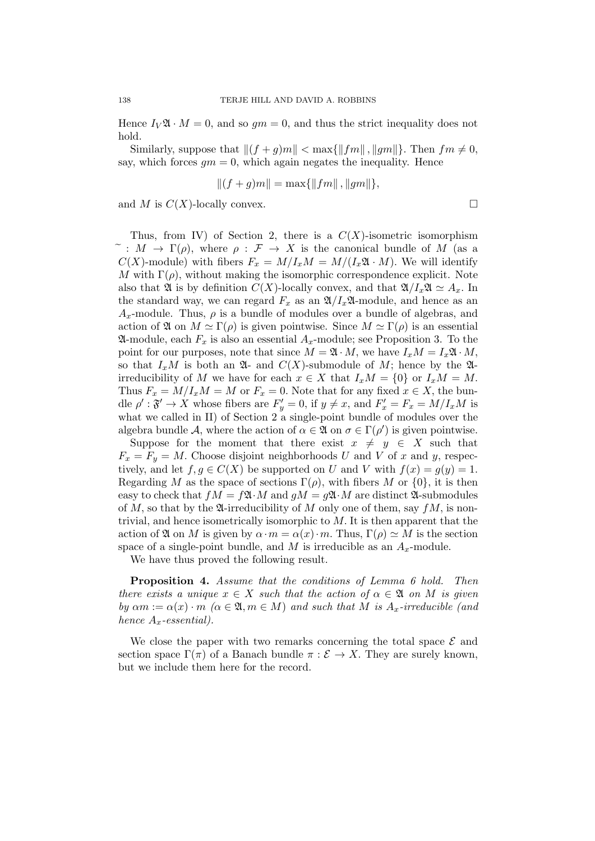Hence  $I_V \mathfrak{A} \cdot M = 0$ , and so  $qm = 0$ , and thus the strict inequality does not hold.

Similarly, suppose that  $||(f + q)m|| < \max{||fm||}$ ,  $||qm||$ . Then  $fm \neq 0$ , say, which forces  $qm = 0$ , which again negates the inequality. Hence

$$
||(f+g)m|| = \max{||fm||, ||gm||},
$$

and M is  $C(X)$ -locally convex.

Thus, from IV) of Section 2, there is a  $C(X)$ -isometric isomorphism  $\tilde{\phantom{a}}: M \to \Gamma(\rho)$ , where  $\rho: \mathcal{F} \to X$  is the canonical bundle of M (as a  $C(X)$ -module) with fibers  $F_x = M/I_xM = M/(I_x\mathfrak{A} \cdot M)$ . We will identify M with  $\Gamma(\rho)$ , without making the isomorphic correspondence explicit. Note also that  $\mathfrak{A}$  is by definition  $C(X)$ -locally convex, and that  $\mathfrak{A}/I_x\mathfrak{A} \simeq A_x$ . In the standard way, we can regard  $F_x$  as an  $\mathfrak{A}/I_x\mathfrak{A}$ -module, and hence as an  $A_x$ -module. Thus,  $\rho$  is a bundle of modules over a bundle of algebras, and action of  $\mathfrak A$  on  $M \simeq \Gamma(\rho)$  is given pointwise. Since  $M \simeq \Gamma(\rho)$  is an essential  $\mathfrak A$ -module, each  $F_x$  is also an essential  $A_x$ -module; see Proposition 3. To the point for our purposes, note that since  $M = \mathfrak{A} \cdot M$ , we have  $I_x M = I_x \mathfrak{A} \cdot M$ , so that  $I_xM$  is both an  $\mathfrak{A}$ - and  $C(X)$ -submodule of M; hence by the  $\mathfrak{A}$ irreducibility of M we have for each  $x \in X$  that  $I_xM = \{0\}$  or  $I_xM = M$ . Thus  $F_x = M/I_xM = M$  or  $F_x = 0$ . Note that for any fixed  $x \in X$ , the bundle  $\rho' : \mathfrak{F}' \to X$  whose fibers are  $F'_y = 0$ , if  $y \neq x$ , and  $F'_x = F_x = M/I_xM$  is what we called in II) of Section 2 a single-point bundle of modules over the algebra bundle A, where the action of  $\alpha \in \mathfrak{A}$  on  $\sigma \in \Gamma(\rho')$  is given pointwise.

Suppose for the moment that there exist  $x \neq y \in X$  such that  $F_x = F_y = M$ . Choose disjoint neighborhoods U and V of x and y, respectively, and let  $f, g \in C(X)$  be supported on U and V with  $f(x) = g(y) = 1$ . Regarding M as the space of sections  $\Gamma(\rho)$ , with fibers M or  $\{0\}$ , it is then easy to check that  $fM = f\mathfrak{A} \cdot M$  and  $gM = g\mathfrak{A} \cdot M$  are distinct  $\mathfrak{A}$ -submodules of M, so that by the  $\mathfrak A$ -irreducibility of M only one of them, say  $fM$ , is nontrivial, and hence isometrically isomorphic to  $M$ . It is then apparent that the action of  $\mathfrak A$  on M is given by  $\alpha \cdot m = \alpha(x) \cdot m$ . Thus,  $\Gamma(\rho) \simeq M$  is the section space of a single-point bundle, and M is irreducible as an  $A_x$ -module.

We have thus proved the following result.

Proposition 4. Assume that the conditions of Lemma 6 hold. Then there exists a unique  $x \in X$  such that the action of  $\alpha \in \mathfrak{A}$  on M is given by  $\alpha m := \alpha(x) \cdot m \ (\alpha \in \mathfrak{A}, m \in M)$  and such that M is  $A_x$ -irreducible (and hence  $A_x$ -essential).

We close the paper with two remarks concerning the total space  $\mathcal E$  and section space  $\Gamma(\pi)$  of a Banach bundle  $\pi : \mathcal{E} \to X$ . They are surely known, but we include them here for the record.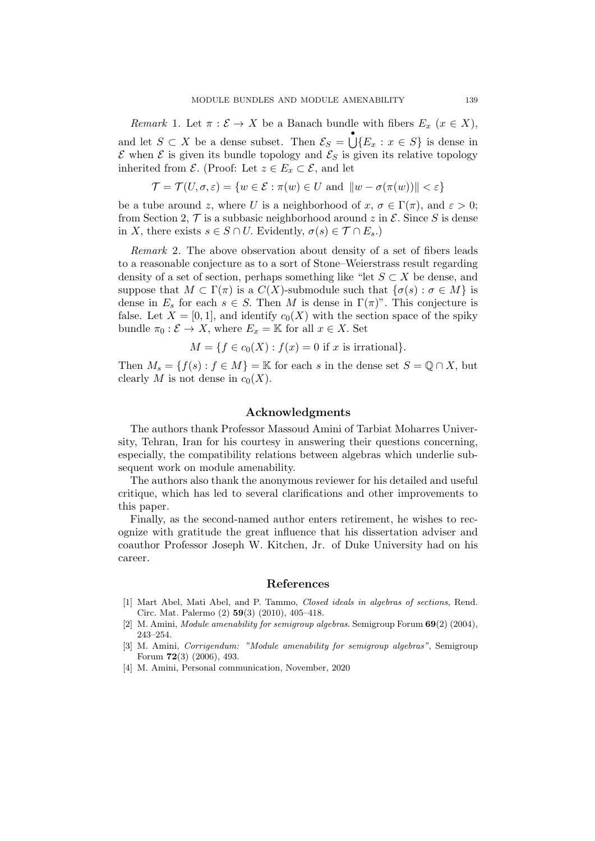Remark 1. Let  $\pi : \mathcal{E} \to X$  be a Banach bundle with fibers  $E_x$   $(x \in X)$ , and let  $S \subset X$  be a dense subset. Then  $\mathcal{E}_S = \bigcup_{i=1}^{\infty} \{E_x : x \in S\}$  is dense in  $\mathcal E$  when  $\mathcal E$  is given its bundle topology and  $\mathcal E_S$  is given its relative topology inherited from  $\mathcal{E}$ . (Proof: Let  $z \in E_x \subset \mathcal{E}$ , and let

$$
\mathcal{T} = \mathcal{T}(U, \sigma, \varepsilon) = \{ w \in \mathcal{E} : \pi(w) \in U \text{ and } ||w - \sigma(\pi(w))|| < \varepsilon \}
$$

be a tube around z, where U is a neighborhood of  $x, \sigma \in \Gamma(\pi)$ , and  $\varepsilon > 0$ ; from Section 2,  $\mathcal T$  is a subbasic neighborhood around z in  $\mathcal E$ . Since S is dense in X, there exists  $s \in S \cap U$ . Evidently,  $\sigma(s) \in \mathcal{T} \cap E_s$ .

Remark 2. The above observation about density of a set of fibers leads to a reasonable conjecture as to a sort of Stone–Weierstrass result regarding density of a set of section, perhaps something like "let  $S \subset X$  be dense, and suppose that  $M \subset \Gamma(\pi)$  is a  $C(X)$ -submodule such that  $\{\sigma(s): \sigma \in M\}$  is dense in  $E_s$  for each  $s \in S$ . Then M is dense in  $\Gamma(\pi)$ ". This conjecture is false. Let  $X = [0, 1]$ , and identify  $c_0(X)$  with the section space of the spiky bundle  $\pi_0 : \mathcal{E} \to X$ , where  $E_x = \mathbb{K}$  for all  $x \in X$ . Set

$$
M = \{ f \in c_0(X) : f(x) = 0 \text{ if } x \text{ is irrational} \}.
$$

Then  $M_s = \{f(s) : f \in M\} = \mathbb{K}$  for each s in the dense set  $S = \mathbb{Q} \cap X$ , but clearly M is not dense in  $c_0(X)$ .

## Acknowledgments

The authors thank Professor Massoud Amini of Tarbiat Moharres University, Tehran, Iran for his courtesy in answering their questions concerning, especially, the compatibility relations between algebras which underlie subsequent work on module amenability.

The authors also thank the anonymous reviewer for his detailed and useful critique, which has led to several clarifications and other improvements to this paper.

Finally, as the second-named author enters retirement, he wishes to recognize with gratitude the great influence that his dissertation adviser and coauthor Professor Joseph W. Kitchen, Jr. of Duke University had on his career.

#### References

- [1] Mart Abel, Mati Abel, and P. Tammo, Closed ideals in algebras of sections, Rend. Circ. Mat. Palermo (2) 59(3) (2010), 405–418.
- [2] M. Amini, Module amenability for semigroup algebras. Semigroup Forum 69(2) (2004), 243–254.
- [3] M. Amini, Corrigendum: "Module amenability for semigroup algebras", Semigroup Forum 72(3) (2006), 493.
- [4] M. Amini, Personal communication, November, 2020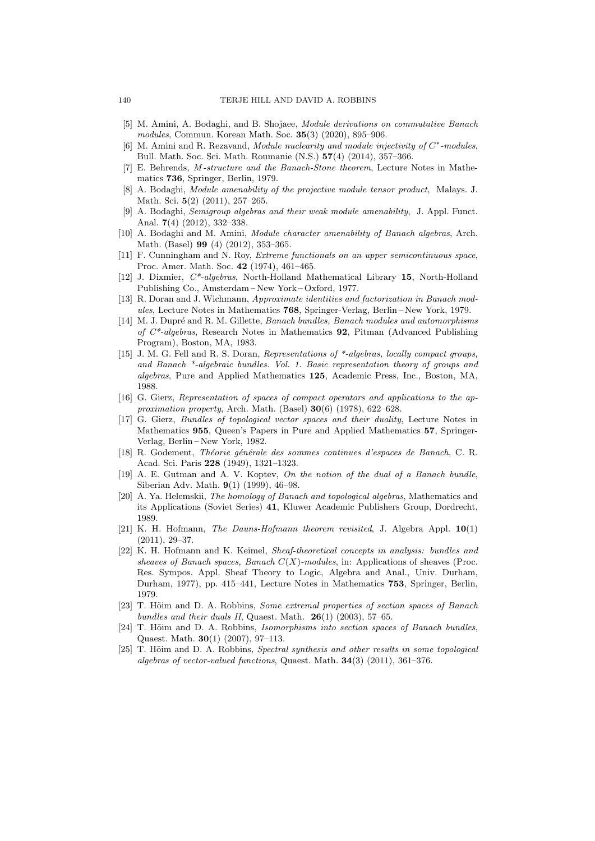- [5] M. Amini, A. Bodaghi, and B. Shojaee, Module derivations on commutative Banach modules, Commun. Korean Math. Soc. 35(3) (2020), 895–906.
- [6] M. Amini and R. Rezavand, Module nuclearity and module injectivity of  $C^*$ -modules, Bull. Math. Soc. Sci. Math. Roumanie (N.S.) 57(4) (2014), 357–366.
- [7] E. Behrends, M -structure and the Banach-Stone theorem, Lecture Notes in Mathematics 736, Springer, Berlin, 1979.
- [8] A. Bodaghi, Module amenability of the projective module tensor product, Malays. J. Math. Sci. 5(2) (2011), 257–265.
- [9] A. Bodaghi, Semigroup algebras and their weak module amenability, J. Appl. Funct. Anal. 7(4) (2012), 332–338.
- [10] A. Bodaghi and M. Amini, Module character amenability of Banach algebras, Arch. Math. (Basel) 99 (4) (2012), 353–365.
- [11] F. Cunningham and N. Roy, Extreme functionals on an upper semicontinuous space, Proc. Amer. Math. Soc. 42 (1974), 461–465.
- [12] J. Dixmier, C\*-algebras, North-Holland Mathematical Library 15, North-Holland Publishing Co., Amsterdam – New York – Oxford, 1977.
- [13] R. Doran and J. Wichmann, Approximate identities and factorization in Banach modules, Lecture Notes in Mathematics 768, Springer-Verlag, Berlin – New York, 1979.
- [14] M. J. Dupré and R. M. Gillette, Banach bundles, Banach modules and automorphisms of  $C^*$ -algebras, Research Notes in Mathematics 92, Pitman (Advanced Publishing Program), Boston, MA, 1983.
- [15] J. M. G. Fell and R. S. Doran, Representations of \*-algebras, locally compact groups, and Banach \*-algebraic bundles. Vol. 1. Basic representation theory of groups and algebras, Pure and Applied Mathematics 125, Academic Press, Inc., Boston, MA, 1988.
- [16] G. Gierz, Representation of spaces of compact operators and applications to the approximation property, Arch. Math. (Basel)  $30(6)$  (1978), 622–628.
- [17] G. Gierz, Bundles of topological vector spaces and their duality, Lecture Notes in Mathematics 955, Queen's Papers in Pure and Applied Mathematics 57, Springer-Verlag, Berlin – New York, 1982.
- [18] R. Godement, Théorie générale des sommes continues d'espaces de Banach, C. R. Acad. Sci. Paris 228 (1949), 1321–1323.
- [19] A. E. Gutman and A. V. Koptev, On the notion of the dual of a Banach bundle, Siberian Adv. Math. 9(1) (1999), 46–98.
- [20] A. Ya. Helemskii, The homology of Banach and topological algebras, Mathematics and its Applications (Soviet Series) 41, Kluwer Academic Publishers Group, Dordrecht, 1989.
- [21] K. H. Hofmann, The Dauns-Hofmann theorem revisited, J. Algebra Appl. 10(1) (2011), 29–37.
- [22] K. H. Hofmann and K. Keimel, Sheaf-theoretical concepts in analysis: bundles and sheaves of Banach spaces, Banach  $C(X)$ -modules, in: Applications of sheaves (Proc. Res. Sympos. Appl. Sheaf Theory to Logic, Algebra and Anal., Univ. Durham, Durham, 1977), pp. 415–441, Lecture Notes in Mathematics 753, Springer, Berlin, 1979.
- [23] T. Hõim and D. A. Robbins, Some extremal properties of section spaces of Banach bundles and their duals II, Quaest. Math.  $26(1)$  (2003), 57–65.
- [24] T. Hõim and D. A. Robbins, *Isomorphisms into section spaces of Banach bundles*, Quaest. Math. 30(1) (2007), 97–113.
- [25] T. Hõim and D. A. Robbins, Spectral synthesis and other results in some topological algebras of vector-valued functions, Quaest. Math. 34(3) (2011), 361–376.